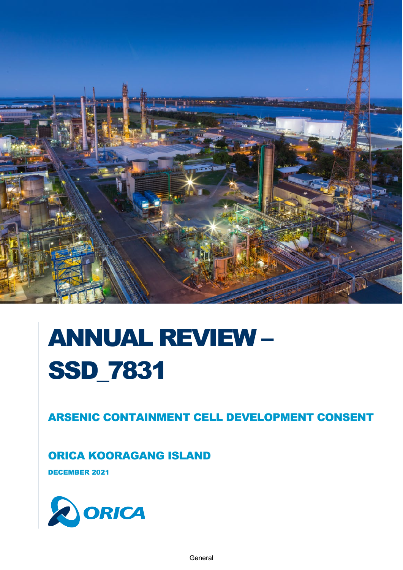

# ANNUAL REVIEW – SSD\_7831

ARSENIC CONTAINMENT CELL DEVELOPMENT CONSENT

ORICA KOORAGANG ISLAND

DECEMBER 2021

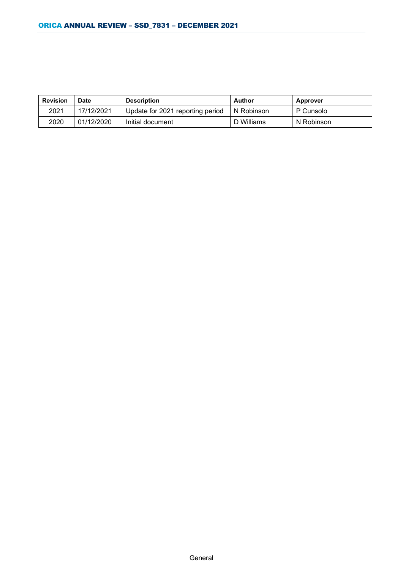| <b>Revision</b> | <b>Date</b> | <b>Description</b>               | Author     | Approver   |
|-----------------|-------------|----------------------------------|------------|------------|
| 2021            | 17/12/2021  | Update for 2021 reporting period | N Robinson | P Cunsolo  |
| 2020            | 01/12/2020  | Initial document                 | D Williams | N Robinson |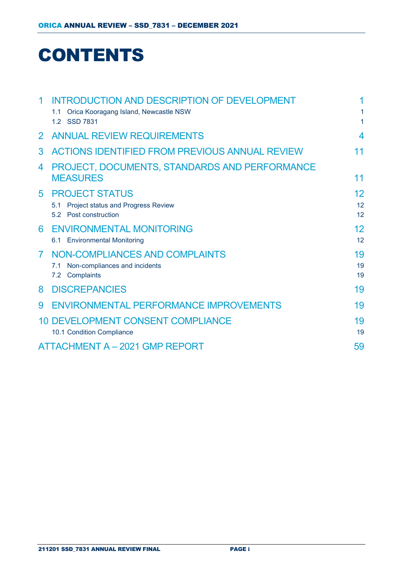# **CONTENTS**

| $\mathbf 1$    | <b>INTRODUCTION AND DESCRIPTION OF DEVELOPMENT</b> | 1  |
|----------------|----------------------------------------------------|----|
|                | Orica Kooragang Island, Newcastle NSW<br>1.1       | 1  |
|                | 1.2 SSD 7831                                       | 1  |
| $\overline{2}$ | <b>ANNUAL REVIEW REQUIREMENTS</b>                  | 4  |
| 3              | ACTIONS IDENTIFIED FROM PREVIOUS ANNUAL REVIEW     | 11 |
| 4              | PROJECT, DOCUMENTS, STANDARDS AND PERFORMANCE      |    |
|                | <b>MEASURES</b>                                    | 11 |
| 5              | <b>PROJECT STATUS</b>                              | 12 |
|                | Project status and Progress Review<br>5.1          | 12 |
|                | 5.2 Post construction                              | 12 |
| 6              | <b>ENVIRONMENTAL MONITORING</b>                    | 12 |
|                | 6.1 Environmental Monitoring                       | 12 |
| 7              | NON-COMPLIANCES AND COMPLAINTS                     | 19 |
|                | Non-compliances and incidents<br>7.1               | 19 |
|                | 7.2 Complaints                                     | 19 |
| 8              | <b>DISCREPANCIES</b>                               | 19 |
| 9              | ENVIRONMENTAL PERFORMANCE IMPROVEMENTS             | 19 |
|                | 10 DEVELOPMENT CONSENT COMPLIANCE                  | 19 |
|                | 10.1 Condition Compliance                          | 19 |
|                | <b>ATTACHMENT A - 2021 GMP REPORT</b>              | 59 |
|                |                                                    |    |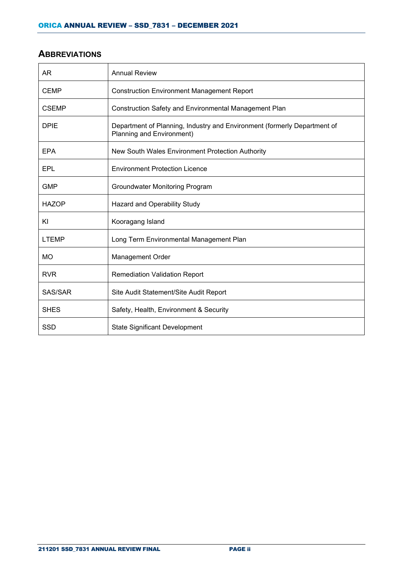### **ABBREVIATIONS**

| AR           | <b>Annual Review</b>                                                                                  |
|--------------|-------------------------------------------------------------------------------------------------------|
| <b>CEMP</b>  | <b>Construction Environment Management Report</b>                                                     |
| <b>CSEMP</b> | Construction Safety and Environmental Management Plan                                                 |
| <b>DPIE</b>  | Department of Planning, Industry and Environment (formerly Department of<br>Planning and Environment) |
| <b>EPA</b>   | New South Wales Environment Protection Authority                                                      |
| EPL          | <b>Environment Protection Licence</b>                                                                 |
| <b>GMP</b>   | Groundwater Monitoring Program                                                                        |
| <b>HAZOP</b> | Hazard and Operability Study                                                                          |
| ΚI           | Kooragang Island                                                                                      |
| <b>LTEMP</b> | Long Term Environmental Management Plan                                                               |
| <b>MO</b>    | <b>Management Order</b>                                                                               |
| <b>RVR</b>   | <b>Remediation Validation Report</b>                                                                  |
| SAS/SAR      | Site Audit Statement/Site Audit Report                                                                |
| <b>SHES</b>  | Safety, Health, Environment & Security                                                                |
| SSD          | <b>State Significant Development</b>                                                                  |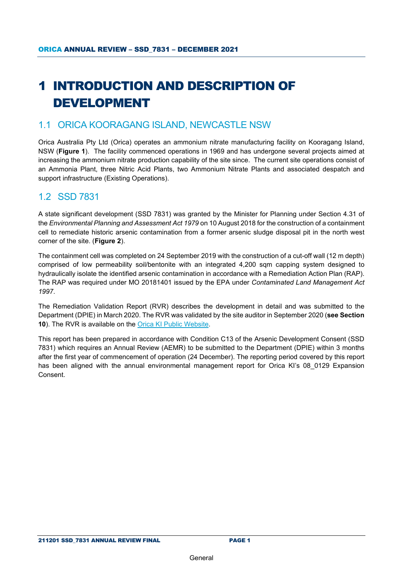# <span id="page-4-0"></span>1 INTRODUCTION AND DESCRIPTION OF DEVELOPMENT

### <span id="page-4-1"></span>1.1 ORICA KOORAGANG ISLAND, NEWCASTLE NSW

Orica Australia Pty Ltd (Orica) operates an ammonium nitrate manufacturing facility on Kooragang Island, NSW (**[Figure 1](#page-5-0)**). The facility commenced operations in 1969 and has undergone several projects aimed at increasing the ammonium nitrate production capability of the site since. The current site operations consist of an Ammonia Plant, three Nitric Acid Plants, two Ammonium Nitrate Plants and associated despatch and support infrastructure (Existing Operations).

### <span id="page-4-2"></span>1.2 SSD 7831

A state significant development (SSD 7831) was granted by the Minister for Planning under Section 4.31 of the *Environmental Planning and Assessment Act 1979* on 10 August 2018 for the construction of a containment cell to remediate historic arsenic contamination from a former arsenic sludge disposal pit in the north west corner of the site. (**Figure 2**).

The containment cell was completed on 24 September 2019 with the construction of a cut-off wall (12 m depth) comprised of low permeability soil/bentonite with an integrated 4,200 sqm capping system designed to hydraulically isolate the identified arsenic contamination in accordance with a Remediation Action Plan (RAP). The RAP was required under MO 20181401 issued by the EPA under *Contaminated Land Management Act 1997*.

The Remediation Validation Report (RVR) describes the development in detail and was submitted to the Department (DPIE) in March 2020. The RVR was validated by the site auditor in September 2020 (**see Section 10**). The RVR is available on the [Orica KI Public Website.](https://www.orica.com/Locations/Asia-Pacific/Australia/Kooragang-Island/Operations/Site-Projects#.X7yjuGgzaUk)

This report has been prepared in accordance with Condition C13 of the Arsenic Development Consent (SSD 7831) which requires an Annual Review (AEMR) to be submitted to the Department (DPIE) within 3 months after the first year of commencement of operation (24 December). The reporting period covered by this report has been aligned with the annual environmental management report for Orica KI's 08 0129 Expansion Consent.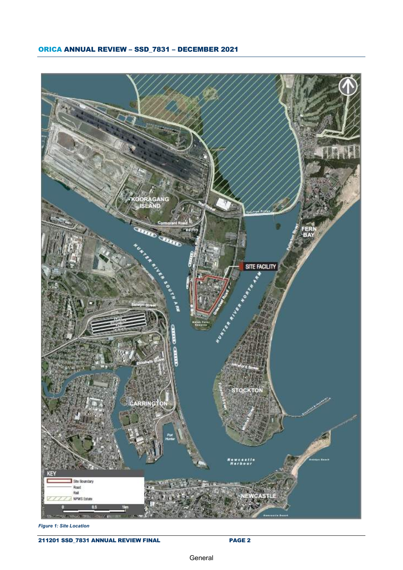

<span id="page-5-0"></span>*Figure 1: Site Location*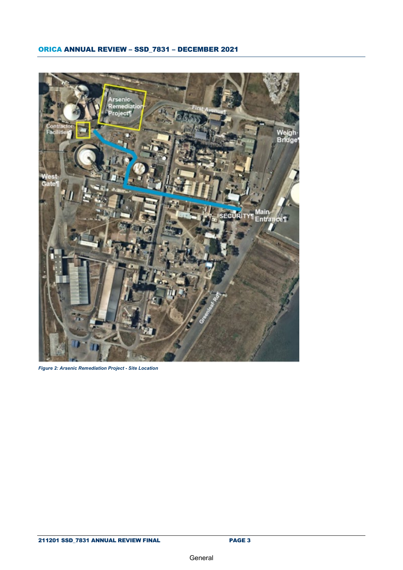

*Figure 2: Arsenic Remediation Project - Site Location*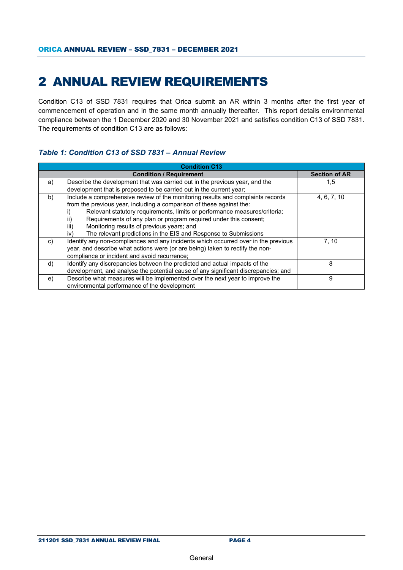# <span id="page-7-0"></span>2 ANNUAL REVIEW REQUIREMENTS

Condition C13 of SSD 7831 requires that Orica submit an AR within 3 months after the first year of commencement of operation and in the same month annually thereafter. This report details environmental compliance between the 1 December 2020 and 30 November 2021 and satisfies condition C13 of SSD 7831. The requirements of condition C13 are as follows:

#### *Table 1: Condition C13 of SSD 7831 – Annual Review*

|    | <b>Condition C13</b>                                                               |                      |  |  |  |
|----|------------------------------------------------------------------------------------|----------------------|--|--|--|
|    | <b>Condition / Requirement</b>                                                     | <b>Section of AR</b> |  |  |  |
| a) | Describe the development that was carried out in the previous year, and the        | 1,5                  |  |  |  |
|    | development that is proposed to be carried out in the current year;                |                      |  |  |  |
| b) | Include a comprehensive review of the monitoring results and complaints records    | 4, 6, 7, 10          |  |  |  |
|    | from the previous year, including a comparison of these against the:               |                      |  |  |  |
|    | Relevant statutory requirements, limits or performance measures/criteria;          |                      |  |  |  |
|    | Requirements of any plan or program required under this consent;<br>II)            |                      |  |  |  |
|    | iii)<br>Monitoring results of previous years; and                                  |                      |  |  |  |
|    | The relevant predictions in the EIS and Response to Submissions<br>iv)             |                      |  |  |  |
| C) | Identify any non-compliances and any incidents which occurred over in the previous | 7, 10                |  |  |  |
|    | year, and describe what actions were (or are being) taken to rectify the non-      |                      |  |  |  |
|    | compliance or incident and avoid recurrence;                                       |                      |  |  |  |
| d) | Identify any discrepancies between the predicted and actual impacts of the<br>8    |                      |  |  |  |
|    | development, and analyse the potential cause of any significant discrepancies; and |                      |  |  |  |
| e) | Describe what measures will be implemented over the next year to improve the       | 9                    |  |  |  |
|    | environmental performance of the development                                       |                      |  |  |  |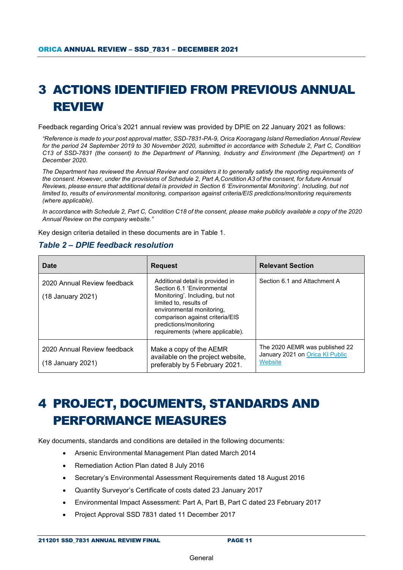# <span id="page-8-0"></span>3 ACTIONS IDENTIFIED FROM PREVIOUS ANNUAL REVIEW

Feedback regarding Orica's 2021 annual review was provided by DPIE on 22 January 2021 as follows:

*"Reference is made to your post approval matter, SSD-7831-PA-9, Orica Kooragang Island Remediation Annual Review for the period 24 September 2019 to 30 November 2020, submitted in accordance with Schedule 2, Part C, Condition C13 of SSD-7831 (the consent) to the Department of Planning, Industry and Environment (the Department) on 1 December 2020.*

*The Department has reviewed the Annual Review and considers it to generally satisfy the reporting requirements of the consent. However, under the provisions of Schedule 2, Part A,Condition A3 of the consent, for future Annual Reviews, please ensure that additional detail is provided in Section 6 'Environmental Monitoring'. Including, but not limited to, results of environmental monitoring, comparison against criteria/EIS predictions/monitoring requirements (where applicable).*

In accordance with Schedule 2. Part C. Condition C18 of the consent, please make publicly available a copy of the 2020 *Annual Review on the company website."*

Key design criteria detailed in these documents are in Table 1.

#### *Table 2 – DPIE feedback resolution*

| <b>Date</b>                                      | <b>Request</b>                                                                                                                                                                                                                                            | <b>Relevant Section</b>                                                      |
|--------------------------------------------------|-----------------------------------------------------------------------------------------------------------------------------------------------------------------------------------------------------------------------------------------------------------|------------------------------------------------------------------------------|
| 2020 Annual Review feedback<br>(18 January 2021) | Additional detail is provided in<br>Section 6.1 'Environmental<br>Monitoring'. Including, but not<br>limited to, results of<br>environmental monitoring,<br>comparison against criteria/EIS<br>predictions/monitoring<br>requirements (where applicable). | Section 6.1 and Attachment A                                                 |
| 2020 Annual Review feedback<br>(18 January 2021) | Make a copy of the AEMR<br>available on the project website,<br>preferably by 5 February 2021.                                                                                                                                                            | The 2020 AEMR was published 22<br>January 2021 on Orica KI Public<br>Website |

# <span id="page-8-1"></span>4 PROJECT, DOCUMENTS, STANDARDS AND PERFORMANCE MEASURES

Key documents, standards and conditions are detailed in the following documents:

- Arsenic Environmental Management Plan dated March 2014
- Remediation Action Plan dated 8 July 2016
- Secretary's Environmental Assessment Requirements dated 18 August 2016
- Quantity Surveyor's Certificate of costs dated 23 January 2017
- Environmental Impact Assessment: Part A, Part B, Part C dated 23 February 2017
- Project Approval SSD 7831 dated 11 December 2017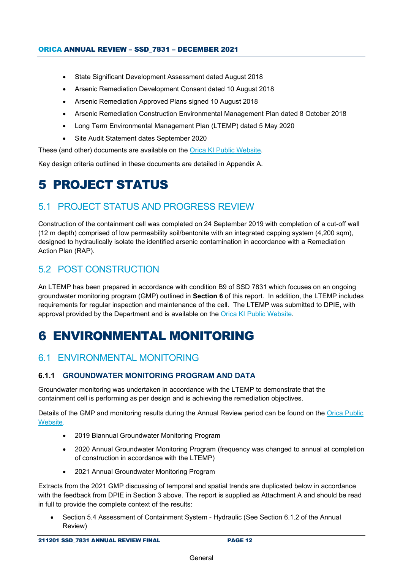- State Significant Development Assessment dated August 2018
- Arsenic Remediation Development Consent dated 10 August 2018
- Arsenic Remediation Approved Plans signed 10 August 2018
- Arsenic Remediation Construction Environmental Management Plan dated 8 October 2018
- Long Term Environmental Management Plan (LTEMP) dated 5 May 2020
- Site Audit Statement dates September 2020

These (and other) documents are available on the [Orica KI Public Website.](https://www.orica.com/Locations/Asia-Pacific/Australia/Kooragang-Island/Operations/Site-Projects#.X7yjuGgzaUk)

Key design criteria outlined in these documents are detailed in Appendix A.

# <span id="page-9-0"></span>5 PROJECT STATUS

### <span id="page-9-1"></span>5.1 PROJECT STATUS AND PROGRESS REVIEW

Construction of the containment cell was completed on 24 September 2019 with completion of a cut-off wall (12 m depth) comprised of low permeability soil/bentonite with an integrated capping system (4,200 sqm), designed to hydraulically isolate the identified arsenic contamination in accordance with a Remediation Action Plan (RAP).

### <span id="page-9-2"></span>5.2 POST CONSTRUCTION

An LTEMP has been prepared in accordance with condition B9 of SSD 7831 which focuses on an ongoing groundwater monitoring program (GMP) outlined in **Section 6** of this report. In addition, the LTEMP includes requirements for regular inspection and maintenance of the cell. The LTEMP was submitted to DPIE, with approval provided by the Department and is available on the [Orica KI Public Website.](https://www.orica.com/Locations/Asia-Pacific/Australia/Kooragang-Island/Operations/Site-Projects#.X7yjuGgzaUk)

# <span id="page-9-3"></span>6 ENVIRONMENTAL MONITORING

### <span id="page-9-4"></span>6.1 ENVIRONMENTAL MONITORING

#### **6.1.1 GROUNDWATER MONITORING PROGRAM AND DATA**

Groundwater monitoring was undertaken in accordance with the LTEMP to demonstrate that the containment cell is performing as per design and is achieving the remediation objectives.

Details of the GMP and monitoring results during the Annual Review period can be found on the [Orica Public](https://www.orica.com/Locations/Asia-Pacific/Australia/Kooragang-Island/Operations/Site-Projects#.X7yjuGgzaUk)  [Website.](https://www.orica.com/Locations/Asia-Pacific/Australia/Kooragang-Island/Operations/Site-Projects#.X7yjuGgzaUk)

- 2019 Biannual Groundwater Monitoring Program
- 2020 Annual Groundwater Monitoring Program (frequency was changed to annual at completion of construction in accordance with the LTEMP)
- 2021 Annual Groundwater Monitoring Program

Extracts from the 2021 GMP discussing of temporal and spatial trends are duplicated below in accordance with the feedback from DPIE in Section 3 above. The report is supplied as Attachment A and should be read in full to provide the complete context of the results:

• Section 5.4 Assessment of Containment System - Hydraulic (See Section 6.1.2 of the Annual Review)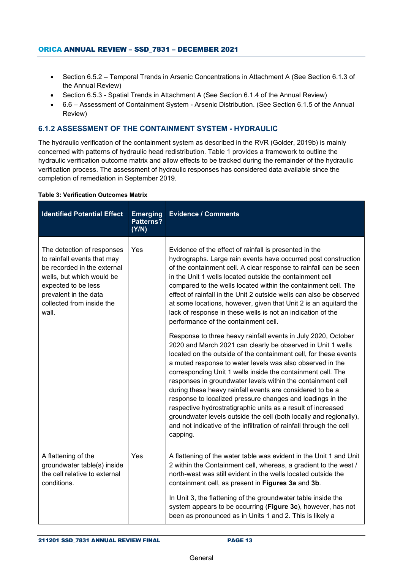- Section 6.5.2 Temporal Trends in Arsenic Concentrations in Attachment A (See Section 6.1.3 of the Annual Review)
- Section 6.5.3 Spatial Trends in Attachment A (See Section 6.1.4 of the Annual Review)
- 6.6 Assessment of Containment System Arsenic Distribution. (See Section 6.1.5 of the Annual Review)

#### **6.1.2 ASSESSMENT OF THE CONTAINMENT SYSTEM - HYDRAULIC**

The hydraulic verification of the containment system as described in the RVR (Golder, 2019b) is mainly concerned with patterns of hydraulic head redistribution. [Table 1](#page-10-0) provides a framework to outline the hydraulic verification outcome matrix and allow effects to be tracked during the remainder of the hydraulic verification process. The assessment of hydraulic responses has considered data available since the completion of remediation in September 2019.

| <b>Identified Potential Effect</b>                                                                                                                                                                          | <b>Emerging</b><br>Patterns?<br>(Y/N) | <b>Evidence / Comments</b>                                                                                                                                                                                                                                                                                                                                                                                                                                                                                                                                                                                                                                                                                                                      |
|-------------------------------------------------------------------------------------------------------------------------------------------------------------------------------------------------------------|---------------------------------------|-------------------------------------------------------------------------------------------------------------------------------------------------------------------------------------------------------------------------------------------------------------------------------------------------------------------------------------------------------------------------------------------------------------------------------------------------------------------------------------------------------------------------------------------------------------------------------------------------------------------------------------------------------------------------------------------------------------------------------------------------|
| The detection of responses<br>to rainfall events that may<br>be recorded in the external<br>wells, but which would be<br>expected to be less<br>prevalent in the data<br>collected from inside the<br>wall. | Yes                                   | Evidence of the effect of rainfall is presented in the<br>hydrographs. Large rain events have occurred post construction<br>of the containment cell. A clear response to rainfall can be seen<br>in the Unit 1 wells located outside the containment cell<br>compared to the wells located within the containment cell. The<br>effect of rainfall in the Unit 2 outside wells can also be observed<br>at some locations, however, given that Unit 2 is an aquitard the<br>lack of response in these wells is not an indication of the<br>performance of the containment cell.                                                                                                                                                                   |
|                                                                                                                                                                                                             |                                       | Response to three heavy rainfall events in July 2020, October<br>2020 and March 2021 can clearly be observed in Unit 1 wells<br>located on the outside of the containment cell, for these events<br>a muted response to water levels was also observed in the<br>corresponding Unit 1 wells inside the containment cell. The<br>responses in groundwater levels within the containment cell<br>during these heavy rainfall events are considered to be a<br>response to localized pressure changes and loadings in the<br>respective hydrostratigraphic units as a result of increased<br>groundwater levels outside the cell (both locally and regionally),<br>and not indicative of the infiltration of rainfall through the cell<br>capping. |
| A flattening of the<br>groundwater table(s) inside<br>the cell relative to external<br>conditions.                                                                                                          | Yes                                   | A flattening of the water table was evident in the Unit 1 and Unit<br>2 within the Containment cell, whereas, a gradient to the west /<br>north-west was still evident in the wells located outside the<br>containment cell, as present in Figures 3a and 3b.                                                                                                                                                                                                                                                                                                                                                                                                                                                                                   |
|                                                                                                                                                                                                             |                                       | In Unit 3, the flattening of the groundwater table inside the<br>system appears to be occurring (Figure 3c), however, has not<br>been as pronounced as in Units 1 and 2. This is likely a                                                                                                                                                                                                                                                                                                                                                                                                                                                                                                                                                       |

#### <span id="page-10-0"></span>**Table 3: Verification Outcomes Matrix**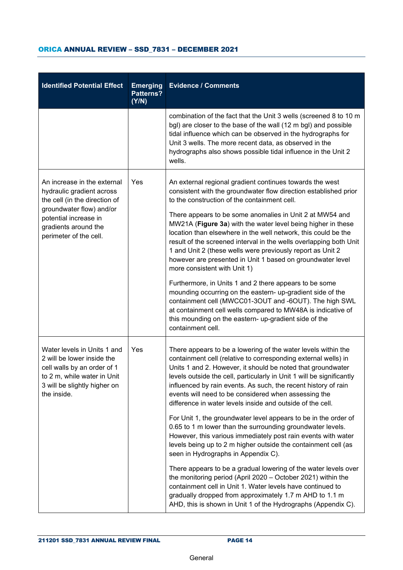| <b>Identified Potential Effect</b>                                                                                                                                                               | <b>Emerging</b><br>Patterns?<br>(Y/N) | <b>Evidence / Comments</b>                                                                                                                                                                                                                                                                                                                                                                                                                                                                                                                                                                                                                                                                                                                                                                                                                                                                                                                                                                                                                                                                              |
|--------------------------------------------------------------------------------------------------------------------------------------------------------------------------------------------------|---------------------------------------|---------------------------------------------------------------------------------------------------------------------------------------------------------------------------------------------------------------------------------------------------------------------------------------------------------------------------------------------------------------------------------------------------------------------------------------------------------------------------------------------------------------------------------------------------------------------------------------------------------------------------------------------------------------------------------------------------------------------------------------------------------------------------------------------------------------------------------------------------------------------------------------------------------------------------------------------------------------------------------------------------------------------------------------------------------------------------------------------------------|
|                                                                                                                                                                                                  |                                       | combination of the fact that the Unit 3 wells (screened 8 to 10 m<br>bgl) are closer to the base of the wall (12 m bgl) and possible<br>tidal influence which can be observed in the hydrographs for<br>Unit 3 wells. The more recent data, as observed in the<br>hydrographs also shows possible tidal influence in the Unit 2<br>wells.                                                                                                                                                                                                                                                                                                                                                                                                                                                                                                                                                                                                                                                                                                                                                               |
| An increase in the external<br>hydraulic gradient across<br>the cell (in the direction of<br>groundwater flow) and/or<br>potential increase in<br>gradients around the<br>perimeter of the cell. | Yes                                   | An external regional gradient continues towards the west<br>consistent with the groundwater flow direction established prior<br>to the construction of the containment cell.<br>There appears to be some anomalies in Unit 2 at MW54 and<br>MW21A (Figure 3a) with the water level being higher in these<br>location than elsewhere in the well network, this could be the<br>result of the screened interval in the wells overlapping both Unit<br>1 and Unit 2 (these wells were previously report as Unit 2<br>however are presented in Unit 1 based on groundwater level<br>more consistent with Unit 1)<br>Furthermore, in Units 1 and 2 there appears to be some<br>mounding occurring on the eastern- up-gradient side of the<br>containment cell (MWCC01-3OUT and -6OUT). The high SWL<br>at containment cell wells compared to MW48A is indicative of<br>this mounding on the eastern- up-gradient side of the<br>containment cell.                                                                                                                                                            |
| Water levels in Units 1 and<br>2 will be lower inside the<br>cell walls by an order of 1<br>to 2 m, while water in Unit<br>3 will be slightly higher on<br>the inside.                           | Yes                                   | There appears to be a lowering of the water levels within the<br>containment cell (relative to corresponding external wells) in<br>Units 1 and 2. However, it should be noted that groundwater<br>levels outside the cell, particularly in Unit 1 will be significantly<br>influenced by rain events. As such, the recent history of rain<br>events will need to be considered when assessing the<br>difference in water levels inside and outside of the cell.<br>For Unit 1, the groundwater level appears to be in the order of<br>0.65 to 1 m lower than the surrounding groundwater levels.<br>However, this various immediately post rain events with water<br>levels being up to 2 m higher outside the containment cell (as<br>seen in Hydrographs in Appendix C).<br>There appears to be a gradual lowering of the water levels over<br>the monitoring period (April 2020 - October 2021) within the<br>containment cell in Unit 1. Water levels have continued to<br>gradually dropped from approximately 1.7 m AHD to 1.1 m<br>AHD, this is shown in Unit 1 of the Hydrographs (Appendix C). |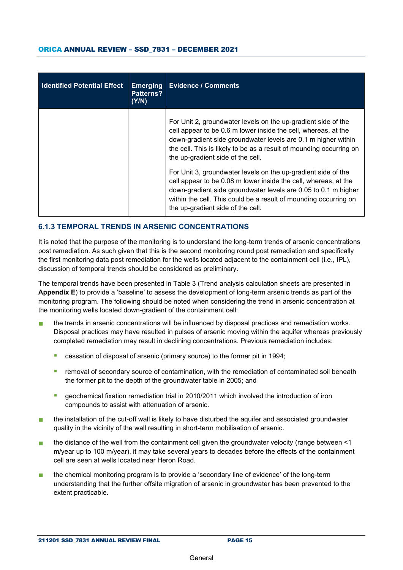| <b>Identified Potential Effect</b> | <b>Emerging</b><br>Patterns?<br>(Y/N) | <b>Evidence / Comments</b>                                                                                                                                                                                                                                                                                   |
|------------------------------------|---------------------------------------|--------------------------------------------------------------------------------------------------------------------------------------------------------------------------------------------------------------------------------------------------------------------------------------------------------------|
|                                    |                                       | For Unit 2, groundwater levels on the up-gradient side of the<br>cell appear to be 0.6 m lower inside the cell, whereas, at the<br>down-gradient side groundwater levels are 0.1 m higher within<br>the cell. This is likely to be as a result of mounding occurring on<br>the up-gradient side of the cell. |
|                                    |                                       | For Unit 3, groundwater levels on the up-gradient side of the<br>cell appear to be 0.08 m lower inside the cell, whereas, at the<br>down-gradient side groundwater levels are 0.05 to 0.1 m higher<br>within the cell. This could be a result of mounding occurring on<br>the up-gradient side of the cell.  |

#### **6.1.3 TEMPORAL TRENDS IN ARSENIC CONCENTRATIONS**

It is noted that the purpose of the monitoring is to understand the long-term trends of arsenic concentrations post remediation. As such given that this is the second monitoring round post remediation and specifically the first monitoring data post remediation for the wells located adjacent to the containment cell (i.e., IPL), discussion of temporal trends should be considered as preliminary.

The temporal trends have been presented in [Table 3](#page-13-0) (Trend analysis calculation sheets are presented in **Appendix E**) to provide a 'baseline' to assess the development of long-term arsenic trends as part of the monitoring program. The following should be noted when considering the trend in arsenic concentration at the monitoring wells located down-gradient of the containment cell:

- **the trends in arsenic concentrations will be influenced by disposal practices and remediation works.** Disposal practices may have resulted in pulses of arsenic moving within the aquifer whereas previously completed remediation may result in declining concentrations. Previous remediation includes:
	- cessation of disposal of arsenic (primary source) to the former pit in 1994;
	- **•** removal of secondary source of contamination, with the remediation of contaminated soil beneath the former pit to the depth of the groundwater table in 2005; and
	- geochemical fixation remediation trial in 2010/2011 which involved the introduction of iron compounds to assist with attenuation of arsenic.
- $\blacksquare$  the installation of the cut-off wall is likely to have disturbed the aquifer and associated groundwater quality in the vicinity of the wall resulting in short-term mobilisation of arsenic.
- the distance of the well from the containment cell given the groundwater velocity (range between <1 m/year up to 100 m/year), it may take several years to decades before the effects of the containment cell are seen at wells located near Heron Road.
- **the chemical monitoring program is to provide a 'secondary line of evidence' of the long-term** understanding that the further offsite migration of arsenic in groundwater has been prevented to the extent practicable.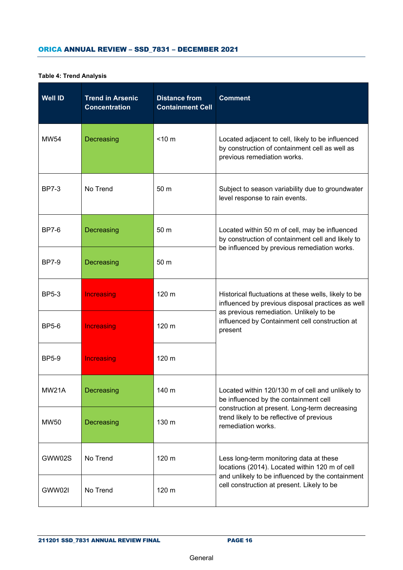#### <span id="page-13-0"></span>**Table 4: Trend Analysis**

| <b>Well ID</b> | <b>Trend in Arsenic</b><br><b>Concentration</b> | <b>Distance from</b><br><b>Containment Cell</b> | <b>Comment</b>                                                                                                                     |
|----------------|-------------------------------------------------|-------------------------------------------------|------------------------------------------------------------------------------------------------------------------------------------|
| <b>MW54</b>    | Decreasing                                      | $< 10 \text{ m}$                                | Located adjacent to cell, likely to be influenced<br>by construction of containment cell as well as<br>previous remediation works. |
| <b>BP7-3</b>   | No Trend                                        | 50 m                                            | Subject to season variability due to groundwater<br>level response to rain events.                                                 |
| <b>BP7-6</b>   | Decreasing                                      | 50 m                                            | Located within 50 m of cell, may be influenced<br>by construction of containment cell and likely to                                |
| <b>BP7-9</b>   | Decreasing                                      | 50 m                                            | be influenced by previous remediation works.                                                                                       |
| <b>BP5-3</b>   | Increasing                                      | 120 <sub>m</sub>                                | Historical fluctuations at these wells, likely to be<br>influenced by previous disposal practices as well                          |
| <b>BP5-6</b>   | Increasing                                      | 120 m                                           | as previous remediation. Unlikely to be<br>influenced by Containment cell construction at<br>present                               |
| <b>BP5-9</b>   | Increasing                                      | 120 m                                           |                                                                                                                                    |
| <b>MW21A</b>   | Decreasing                                      | 140 m                                           | Located within 120/130 m of cell and unlikely to<br>be influenced by the containment cell                                          |
| <b>MW50</b>    | Decreasing                                      | 130 m                                           | construction at present. Long-term decreasing<br>trend likely to be reflective of previous<br>remediation works.                   |
| GWW02S         | No Trend                                        | 120 m                                           | Less long-term monitoring data at these<br>locations (2014). Located within 120 m of cell                                          |
| GWW02I         | No Trend                                        | 120 m                                           | and unlikely to be influenced by the containment<br>cell construction at present. Likely to be                                     |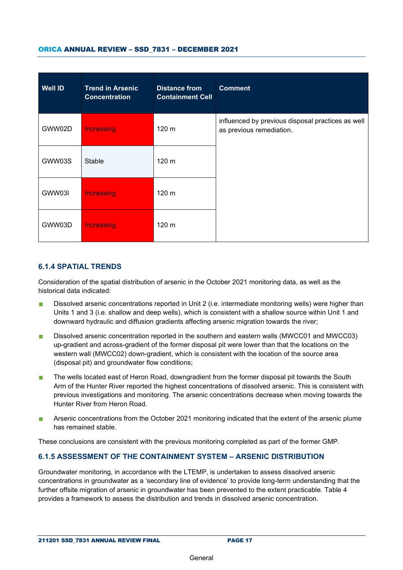| <b>Well ID</b> | <b>Trend in Arsenic</b><br><b>Concentration</b> | <b>Distance from</b><br><b>Containment Cell</b> | <b>Comment</b>                                                                |
|----------------|-------------------------------------------------|-------------------------------------------------|-------------------------------------------------------------------------------|
| GWW02D         | Increasing                                      | 120 m                                           | influenced by previous disposal practices as well<br>as previous remediation. |
| GWW03S         | Stable                                          | 120 <sub>m</sub>                                |                                                                               |
| GWW03I         | Increasing                                      | 120 m                                           |                                                                               |
| GWW03D         | Increasing                                      | 120 <sub>m</sub>                                |                                                                               |

#### **6.1.4 SPATIAL TRENDS**

Consideration of the spatial distribution of arsenic in the October 2021 monitoring data, as well as the historical data indicated:

- **Dissolved arsenic concentrations reported in Unit 2 (i.e. intermediate monitoring wells) were higher than** Units 1 and 3 (i.e. shallow and deep wells), which is consistent with a shallow source within Unit 1 and downward hydraulic and diffusion gradients affecting arsenic migration towards the river;
- **Dissolved arsenic concentration reported in the southern and eastern walls (MWCC01 and MWCC03)** up-gradient and across-gradient of the former disposal pit were lower than that the locations on the western wall (MWCC02) down-gradient, which is consistent with the location of the source area (disposal pit) and groundwater flow conditions;
- The wells located east of Heron Road, downgradient from the former disposal pit towards the South Arm of the Hunter River reported the highest concentrations of dissolved arsenic. This is consistent with previous investigations and monitoring. The arsenic concentrations decrease when moving towards the Hunter River from Heron Road.
- **Arsenic concentrations from the October 2021 monitoring indicated that the extent of the arsenic plume** has remained stable.

These conclusions are consistent with the previous monitoring completed as part of the former GMP.

### **6.1.5 ASSESSMENT OF THE CONTAINMENT SYSTEM – ARSENIC DISTRIBUTION**

Groundwater monitoring, in accordance with the LTEMP, is undertaken to assess dissolved arsenic concentrations in groundwater as a 'secondary line of evidence' to provide long-term understanding that the further offsite migration of arsenic in groundwater has been prevented to the extent practicable. [Table 4](#page-15-0) provides a framework to assess the distribution and trends in dissolved arsenic concentration.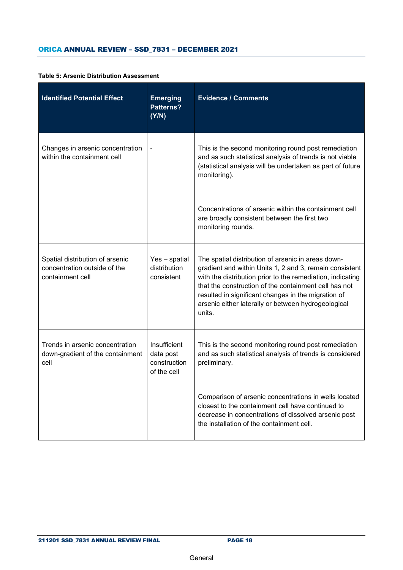#### <span id="page-15-0"></span>**Table 5: Arsenic Distribution Assessment**

| <b>Identified Potential Effect</b>                                                  | <b>Emerging</b><br><b>Patterns?</b><br>(Y/N)             | <b>Evidence / Comments</b>                                                                                                                                                                                                                                                                                                                                   |
|-------------------------------------------------------------------------------------|----------------------------------------------------------|--------------------------------------------------------------------------------------------------------------------------------------------------------------------------------------------------------------------------------------------------------------------------------------------------------------------------------------------------------------|
| Changes in arsenic concentration<br>within the containment cell                     |                                                          | This is the second monitoring round post remediation<br>and as such statistical analysis of trends is not viable<br>(statistical analysis will be undertaken as part of future<br>monitoring).                                                                                                                                                               |
|                                                                                     |                                                          | Concentrations of arsenic within the containment cell<br>are broadly consistent between the first two<br>monitoring rounds.                                                                                                                                                                                                                                  |
| Spatial distribution of arsenic<br>concentration outside of the<br>containment cell | Yes - spatial<br>distribution<br>consistent              | The spatial distribution of arsenic in areas down-<br>gradient and within Units 1, 2 and 3, remain consistent<br>with the distribution prior to the remediation, indicating<br>that the construction of the containment cell has not<br>resulted in significant changes in the migration of<br>arsenic either laterally or between hydrogeological<br>units. |
| Trends in arsenic concentration<br>down-gradient of the containment<br>cell         | Insufficient<br>data post<br>construction<br>of the cell | This is the second monitoring round post remediation<br>and as such statistical analysis of trends is considered<br>preliminary.                                                                                                                                                                                                                             |
|                                                                                     |                                                          | Comparison of arsenic concentrations in wells located<br>closest to the containment cell have continued to<br>decrease in concentrations of dissolved arsenic post<br>the installation of the containment cell.                                                                                                                                              |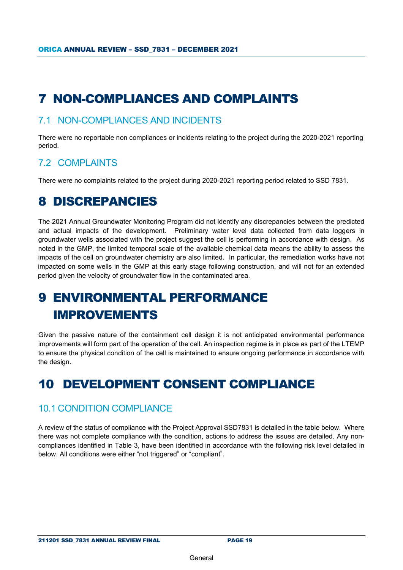# <span id="page-16-0"></span>7 NON-COMPLIANCES AND COMPLAINTS

### <span id="page-16-1"></span>7.1 NON-COMPLIANCES AND INCIDENTS

There were no reportable non compliances or incidents relating to the project during the 2020-2021 reporting period.

## <span id="page-16-2"></span>7.2 COMPLAINTS

There were no complaints related to the project during 2020-2021 reporting period related to SSD 7831.

# <span id="page-16-3"></span>8 DISCREPANCIES

The 2021 Annual Groundwater Monitoring Program did not identify any discrepancies between the predicted and actual impacts of the development. Preliminary water level data collected from data loggers in groundwater wells associated with the project suggest the cell is performing in accordance with design. As noted in the GMP, the limited temporal scale of the available chemical data means the ability to assess the impacts of the cell on groundwater chemistry are also limited. In particular, the remediation works have not impacted on some wells in the GMP at this early stage following construction, and will not for an extended period given the velocity of groundwater flow in the contaminated area.

# <span id="page-16-4"></span>9 ENVIRONMENTAL PERFORMANCE IMPROVEMENTS

Given the passive nature of the containment cell design it is not anticipated environmental performance improvements will form part of the operation of the cell. An inspection regime is in place as part of the LTEMP to ensure the physical condition of the cell is maintained to ensure ongoing performance in accordance with the design.

# <span id="page-16-5"></span>10 DEVELOPMENT CONSENT COMPLIANCE

### <span id="page-16-6"></span>10.1 CONDITION COMPLIANCE

A review of the status of compliance with the Project Approval SSD7831 is detailed in the table below. Where there was not complete compliance with the condition, actions to address the issues are detailed. Any noncompliances identified in Table 3, have been identified in accordance with the following risk level detailed in below. All conditions were either "not triggered" or "compliant".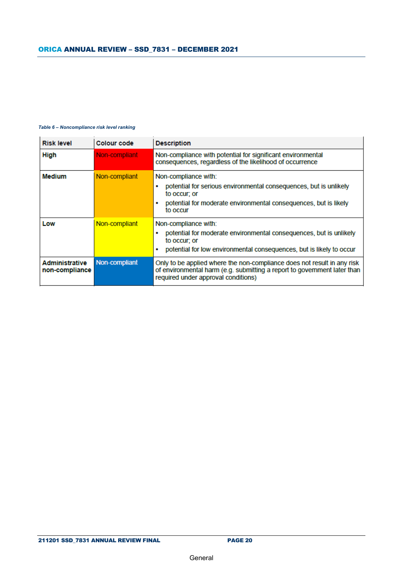#### *Table 6 – Noncompliance risk level ranking*

| <b>Risk level</b>                       | Colour code   | <b>Description</b>                                                                                                                                                                         |
|-----------------------------------------|---------------|--------------------------------------------------------------------------------------------------------------------------------------------------------------------------------------------|
| <b>High</b>                             | Non-compliant | Non-compliance with potential for significant environmental<br>consequences, regardless of the likelihood of occurrence                                                                    |
| <b>Medium</b>                           | Non-compliant | Non-compliance with:<br>potential for serious environmental consequences, but is unlikely<br>to occur: or<br>potential for moderate environmental consequences, but is likely<br>to occur  |
| Low                                     | Non-compliant | Non-compliance with:<br>potential for moderate environmental consequences, but is unlikely<br>to occur; or<br>potential for low environmental consequences, but is likely to occur         |
| <b>Administrative</b><br>non-compliance | Non-compliant | Only to be applied where the non-compliance does not result in any risk<br>of environmental harm (e.g. submitting a report to government later than<br>required under approval conditions) |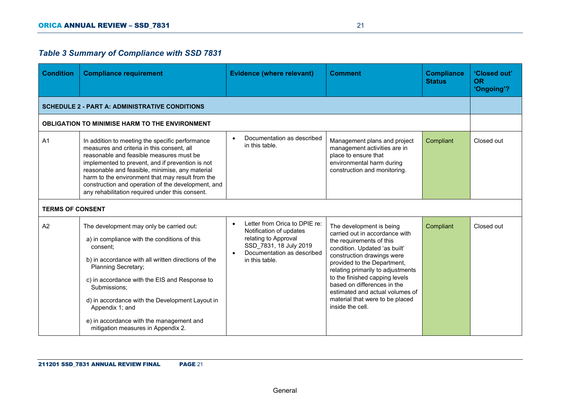# *Table 3 Summary of Compliance with SSD 7831*

| <b>Condition</b>        | <b>Compliance requirement</b>                                                                                                                                                                                                                                                                                                                                                                                      | <b>Evidence (where relevant)</b>                                                                                                                                        | <b>Comment</b>                                                                                                                                                                                                                                                                                                                                                                       | <b>Compliance</b><br><b>Status</b> | 'Closed out'<br><b>OR</b><br>'Ongoing'? |
|-------------------------|--------------------------------------------------------------------------------------------------------------------------------------------------------------------------------------------------------------------------------------------------------------------------------------------------------------------------------------------------------------------------------------------------------------------|-------------------------------------------------------------------------------------------------------------------------------------------------------------------------|--------------------------------------------------------------------------------------------------------------------------------------------------------------------------------------------------------------------------------------------------------------------------------------------------------------------------------------------------------------------------------------|------------------------------------|-----------------------------------------|
|                         | <b>SCHEDULE 2 - PART A: ADMINISTRATIVE CONDITIONS</b>                                                                                                                                                                                                                                                                                                                                                              |                                                                                                                                                                         |                                                                                                                                                                                                                                                                                                                                                                                      |                                    |                                         |
|                         | <b>OBLIGATION TO MINIMISE HARM TO THE ENVIRONMENT</b>                                                                                                                                                                                                                                                                                                                                                              |                                                                                                                                                                         |                                                                                                                                                                                                                                                                                                                                                                                      |                                    |                                         |
| A <sub>1</sub>          | In addition to meeting the specific performance<br>measures and criteria in this consent, all<br>reasonable and feasible measures must be<br>implemented to prevent, and if prevention is not<br>reasonable and feasible, minimise, any material<br>harm to the environment that may result from the<br>construction and operation of the development, and<br>any rehabilitation required under this consent.      | Documentation as described<br>in this table.                                                                                                                            | Management plans and project<br>management activities are in<br>place to ensure that<br>environmental harm during<br>construction and monitoring.                                                                                                                                                                                                                                    | Compliant                          | Closed out                              |
| <b>TERMS OF CONSENT</b> |                                                                                                                                                                                                                                                                                                                                                                                                                    |                                                                                                                                                                         |                                                                                                                                                                                                                                                                                                                                                                                      |                                    |                                         |
| A2                      | The development may only be carried out:<br>a) in compliance with the conditions of this<br>consent:<br>b) in accordance with all written directions of the<br><b>Planning Secretary;</b><br>c) in accordance with the EIS and Response to<br>Submissions;<br>d) in accordance with the Development Layout in<br>Appendix 1; and<br>e) in accordance with the management and<br>mitigation measures in Appendix 2. | Letter from Orica to DPIE re:<br>$\bullet$<br>Notification of updates<br>relating to Approval<br>SSD_7831, 18 July 2019<br>Documentation as described<br>in this table. | The development is being<br>carried out in accordance with<br>the requirements of this<br>condition. Updated 'as built'<br>construction drawings were<br>provided to the Department,<br>relating primarily to adjustments<br>to the finished capping levels<br>based on differences in the<br>estimated and actual volumes of<br>material that were to be placed<br>inside the cell. | Compliant                          | Closed out                              |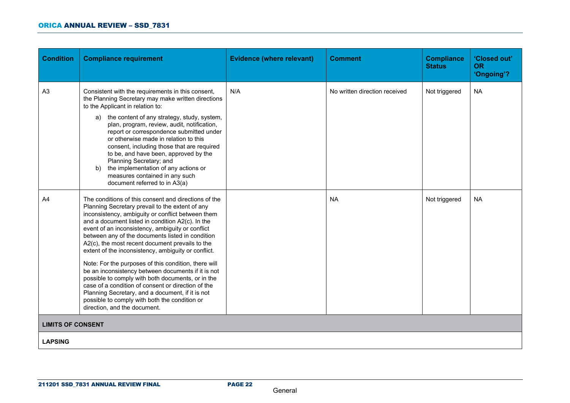#### ORICA ANNUAL REVIEW – SSD\_7831

| <b>Condition</b>         | <b>Compliance requirement</b>                                                                                                                                                                                                                                                                                                                                                                                                                                                                                                                                                                                                                                                                                                                                                                    | <b>Evidence (where relevant)</b> | <b>Comment</b>                | <b>Compliance</b><br><b>Status</b> | 'Closed out'<br><b>OR</b><br>'Ongoing'? |
|--------------------------|--------------------------------------------------------------------------------------------------------------------------------------------------------------------------------------------------------------------------------------------------------------------------------------------------------------------------------------------------------------------------------------------------------------------------------------------------------------------------------------------------------------------------------------------------------------------------------------------------------------------------------------------------------------------------------------------------------------------------------------------------------------------------------------------------|----------------------------------|-------------------------------|------------------------------------|-----------------------------------------|
| A <sub>3</sub>           | Consistent with the requirements in this consent,<br>the Planning Secretary may make written directions<br>to the Applicant in relation to:<br>the content of any strategy, study, system,<br>a)<br>plan, program, review, audit, notification,<br>report or correspondence submitted under<br>or otherwise made in relation to this<br>consent, including those that are required<br>to be, and have been, approved by the<br>Planning Secretary; and<br>the implementation of any actions or<br>b)<br>measures contained in any such<br>document referred to in A3(a)                                                                                                                                                                                                                          | N/A                              | No written direction received | Not triggered                      | <b>NA</b>                               |
| A <sub>4</sub>           | The conditions of this consent and directions of the<br>Planning Secretary prevail to the extent of any<br>inconsistency, ambiguity or conflict between them<br>and a document listed in condition A2(c). In the<br>event of an inconsistency, ambiguity or conflict<br>between any of the documents listed in condition<br>A2(c), the most recent document prevails to the<br>extent of the inconsistency, ambiguity or conflict.<br>Note: For the purposes of this condition, there will<br>be an inconsistency between documents if it is not<br>possible to comply with both documents, or in the<br>case of a condition of consent or direction of the<br>Planning Secretary, and a document, if it is not<br>possible to comply with both the condition or<br>direction, and the document. |                                  | <b>NA</b>                     | Not triggered                      | <b>NA</b>                               |
| <b>LIMITS OF CONSENT</b> |                                                                                                                                                                                                                                                                                                                                                                                                                                                                                                                                                                                                                                                                                                                                                                                                  |                                  |                               |                                    |                                         |
| <b>LAPSING</b>           |                                                                                                                                                                                                                                                                                                                                                                                                                                                                                                                                                                                                                                                                                                                                                                                                  |                                  |                               |                                    |                                         |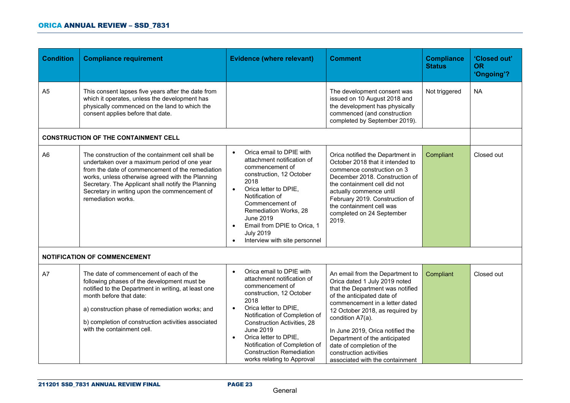| <b>Condition</b> | <b>Compliance requirement</b>                                                                                                                                                                                                                                                                                                          | <b>Evidence (where relevant)</b>                                                                                                                                                                                                                                                                                                                                                                    | <b>Comment</b>                                                                                                                                                                                                                                                                                                                                                                              | <b>Compliance</b><br><b>Status</b> | 'Closed out'<br><b>OR</b><br>'Ongoing'? |
|------------------|----------------------------------------------------------------------------------------------------------------------------------------------------------------------------------------------------------------------------------------------------------------------------------------------------------------------------------------|-----------------------------------------------------------------------------------------------------------------------------------------------------------------------------------------------------------------------------------------------------------------------------------------------------------------------------------------------------------------------------------------------------|---------------------------------------------------------------------------------------------------------------------------------------------------------------------------------------------------------------------------------------------------------------------------------------------------------------------------------------------------------------------------------------------|------------------------------------|-----------------------------------------|
| A <sub>5</sub>   | This consent lapses five years after the date from<br>which it operates, unless the development has<br>physically commenced on the land to which the<br>consent applies before that date.                                                                                                                                              |                                                                                                                                                                                                                                                                                                                                                                                                     | The development consent was<br>issued on 10 August 2018 and<br>the development has physically<br>commenced (and construction<br>completed by September 2019).                                                                                                                                                                                                                               | Not triggered                      | <b>NA</b>                               |
|                  | <b>CONSTRUCTION OF THE CONTAINMENT CELL</b>                                                                                                                                                                                                                                                                                            |                                                                                                                                                                                                                                                                                                                                                                                                     |                                                                                                                                                                                                                                                                                                                                                                                             |                                    |                                         |
| A <sub>6</sub>   | The construction of the containment cell shall be<br>undertaken over a maximum period of one year<br>from the date of commencement of the remediation<br>works, unless otherwise agreed with the Planning<br>Secretary. The Applicant shall notify the Planning<br>Secretary in writing upon the commencement of<br>remediation works. | Orica email to DPIE with<br>$\bullet$<br>attachment notification of<br>commencement of<br>construction, 12 October<br>2018<br>Orica letter to DPIE,<br>$\bullet$<br>Notification of<br>Commencement of<br>Remediation Works, 28<br><b>June 2019</b><br>Email from DPIE to Orica, 1<br>$\bullet$<br><b>July 2019</b><br>Interview with site personnel                                                | Orica notified the Department in<br>October 2018 that it intended to<br>commence construction on 3<br>December 2018. Construction of<br>the containment cell did not<br>actually commence until<br>February 2019. Construction of<br>the containment cell was<br>completed on 24 September<br>2019.                                                                                         | Compliant                          | Closed out                              |
|                  | <b>NOTIFICATION OF COMMENCEMENT</b>                                                                                                                                                                                                                                                                                                    |                                                                                                                                                                                                                                                                                                                                                                                                     |                                                                                                                                                                                                                                                                                                                                                                                             |                                    |                                         |
| A7               | The date of commencement of each of the<br>following phases of the development must be<br>notified to the Department in writing, at least one<br>month before that date:<br>a) construction phase of remediation works; and<br>b) completion of construction activities associated<br>with the containment cell.                       | Orica email to DPIE with<br>$\bullet$<br>attachment notification of<br>commencement of<br>construction, 12 October<br>2018<br>Orica letter to DPIE,<br>$\bullet$<br>Notification of Completion of<br><b>Construction Activities, 28</b><br><b>June 2019</b><br>Orica letter to DPIE,<br>$\bullet$<br>Notification of Completion of<br><b>Construction Remediation</b><br>works relating to Approval | An email from the Department to<br>Orica dated 1 July 2019 noted<br>that the Department was notified<br>of the anticipated date of<br>commencement in a letter dated<br>12 October 2018, as required by<br>condition A7(a).<br>In June 2019, Orica notified the<br>Department of the anticipated<br>date of completion of the<br>construction activities<br>associated with the containment | Compliant                          | Closed out                              |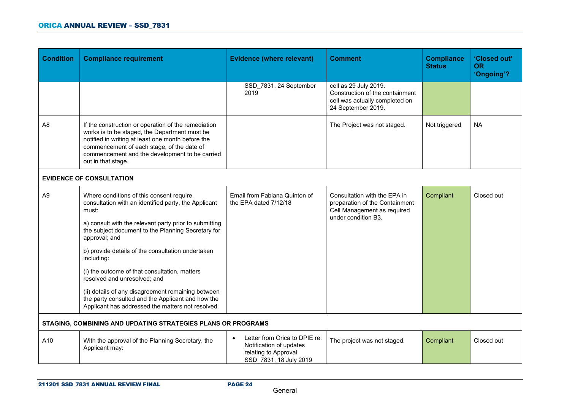| <b>Condition</b> | <b>Compliance requirement</b>                                                                                                                                                                                                                                                                                                                                                                                                                                                                                                                                  | <b>Evidence (where relevant)</b>                                                                                        | <b>Comment</b>                                                                                                       | <b>Compliance</b><br><b>Status</b> | 'Closed out'<br><b>OR</b><br>'Ongoing'? |
|------------------|----------------------------------------------------------------------------------------------------------------------------------------------------------------------------------------------------------------------------------------------------------------------------------------------------------------------------------------------------------------------------------------------------------------------------------------------------------------------------------------------------------------------------------------------------------------|-------------------------------------------------------------------------------------------------------------------------|----------------------------------------------------------------------------------------------------------------------|------------------------------------|-----------------------------------------|
|                  |                                                                                                                                                                                                                                                                                                                                                                                                                                                                                                                                                                | SSD_7831, 24 September<br>2019                                                                                          | cell as 29 July 2019.<br>Construction of the containment<br>cell was actually completed on<br>24 September 2019.     |                                    |                                         |
| A <sub>8</sub>   | If the construction or operation of the remediation<br>works is to be staged, the Department must be<br>notified in writing at least one month before the<br>commencement of each stage, of the date of<br>commencement and the development to be carried<br>out in that stage.                                                                                                                                                                                                                                                                                |                                                                                                                         | The Project was not staged.                                                                                          | Not triggered                      | NA.                                     |
|                  | <b>EVIDENCE OF CONSULTATION</b>                                                                                                                                                                                                                                                                                                                                                                                                                                                                                                                                |                                                                                                                         |                                                                                                                      |                                    |                                         |
| A <sub>9</sub>   | Where conditions of this consent require<br>consultation with an identified party, the Applicant<br>must:<br>a) consult with the relevant party prior to submitting<br>the subject document to the Planning Secretary for<br>approval; and<br>b) provide details of the consultation undertaken<br>including:<br>(i) the outcome of that consultation, matters<br>resolved and unresolved; and<br>(ii) details of any disagreement remaining between<br>the party consulted and the Applicant and how the<br>Applicant has addressed the matters not resolved. | Email from Fabiana Quinton of<br>the EPA dated 7/12/18                                                                  | Consultation with the EPA in<br>preparation of the Containment<br>Cell Management as required<br>under condition B3. | Compliant                          | Closed out                              |
|                  | STAGING, COMBINING AND UPDATING STRATEGIES PLANS OR PROGRAMS                                                                                                                                                                                                                                                                                                                                                                                                                                                                                                   |                                                                                                                         |                                                                                                                      |                                    |                                         |
| A10              | With the approval of the Planning Secretary, the<br>Applicant may:                                                                                                                                                                                                                                                                                                                                                                                                                                                                                             | Letter from Orica to DPIE re:<br>$\bullet$<br>Notification of updates<br>relating to Approval<br>SSD 7831, 18 July 2019 | The project was not staged.                                                                                          | Compliant                          | Closed out                              |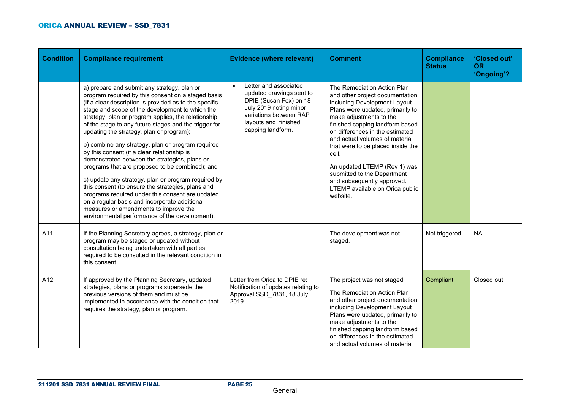| <b>Condition</b> | <b>Compliance requirement</b>                                                                                                                                                                                                                                                                                                                                                                                                                                                                                                                                                                                                                                                                                                                                                                                                                                                                  | <b>Evidence (where relevant)</b>                                                                                                                                                          | <b>Comment</b>                                                                                                                                                                                                                                                                                                                                                                                                                                                  | <b>Compliance</b><br><b>Status</b> | 'Closed out'<br><b>OR</b><br>'Ongoing'? |
|------------------|------------------------------------------------------------------------------------------------------------------------------------------------------------------------------------------------------------------------------------------------------------------------------------------------------------------------------------------------------------------------------------------------------------------------------------------------------------------------------------------------------------------------------------------------------------------------------------------------------------------------------------------------------------------------------------------------------------------------------------------------------------------------------------------------------------------------------------------------------------------------------------------------|-------------------------------------------------------------------------------------------------------------------------------------------------------------------------------------------|-----------------------------------------------------------------------------------------------------------------------------------------------------------------------------------------------------------------------------------------------------------------------------------------------------------------------------------------------------------------------------------------------------------------------------------------------------------------|------------------------------------|-----------------------------------------|
|                  | a) prepare and submit any strategy, plan or<br>program required by this consent on a staged basis<br>(if a clear description is provided as to the specific<br>stage and scope of the development to which the<br>strategy, plan or program applies, the relationship<br>of the stage to any future stages and the trigger for<br>updating the strategy, plan or program);<br>b) combine any strategy, plan or program required<br>by this consent (if a clear relationship is<br>demonstrated between the strategies, plans or<br>programs that are proposed to be combined); and<br>c) update any strategy, plan or program required by<br>this consent (to ensure the strategies, plans and<br>programs required under this consent are updated<br>on a regular basis and incorporate additional<br>measures or amendments to improve the<br>environmental performance of the development). | Letter and associated<br>$\bullet$<br>updated drawings sent to<br>DPIE (Susan Fox) on 18<br>July 2019 noting minor<br>variations between RAP<br>layouts and finished<br>capping landform. | The Remediation Action Plan<br>and other project documentation<br>including Development Layout<br>Plans were updated, primarily to<br>make adjustments to the<br>finished capping landform based<br>on differences in the estimated<br>and actual volumes of material<br>that were to be placed inside the<br>cell.<br>An updated LTEMP (Rev 1) was<br>submitted to the Department<br>and subsequently approved.<br>LTEMP available on Orica public<br>website. |                                    |                                         |
| A11              | If the Planning Secretary agrees, a strategy, plan or<br>program may be staged or updated without<br>consultation being undertaken with all parties<br>required to be consulted in the relevant condition in<br>this consent.                                                                                                                                                                                                                                                                                                                                                                                                                                                                                                                                                                                                                                                                  |                                                                                                                                                                                           | The development was not<br>staged.                                                                                                                                                                                                                                                                                                                                                                                                                              | Not triggered                      | <b>NA</b>                               |
| A12              | If approved by the Planning Secretary, updated<br>strategies, plans or programs supersede the<br>previous versions of them and must be<br>implemented in accordance with the condition that<br>requires the strategy, plan or program.                                                                                                                                                                                                                                                                                                                                                                                                                                                                                                                                                                                                                                                         | Letter from Orica to DPIE re:<br>Notification of updates relating to<br>Approval SSD 7831, 18 July<br>2019                                                                                | The project was not staged.<br>The Remediation Action Plan<br>and other project documentation<br>including Development Layout<br>Plans were updated, primarily to<br>make adjustments to the<br>finished capping landform based<br>on differences in the estimated<br>and actual volumes of material                                                                                                                                                            | Compliant                          | Closed out                              |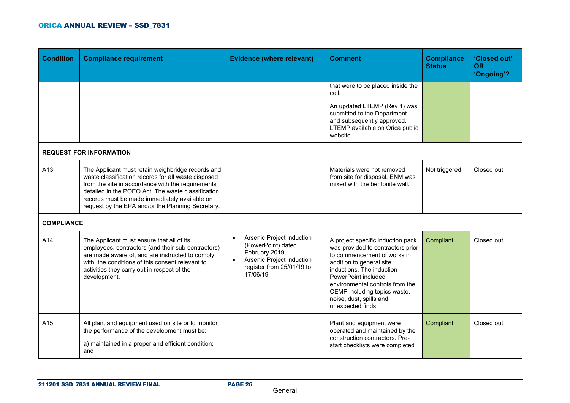| <b>Condition</b>  | <b>Compliance requirement</b>                                                                                                                                                                                                                                                                                             | <b>Evidence (where relevant)</b>                                                                                                                                 | <b>Comment</b>                                                                                                                                                                                                                                                                                           | <b>Compliance</b><br><b>Status</b> | 'Closed out'<br><b>OR</b><br>'Ongoing'? |
|-------------------|---------------------------------------------------------------------------------------------------------------------------------------------------------------------------------------------------------------------------------------------------------------------------------------------------------------------------|------------------------------------------------------------------------------------------------------------------------------------------------------------------|----------------------------------------------------------------------------------------------------------------------------------------------------------------------------------------------------------------------------------------------------------------------------------------------------------|------------------------------------|-----------------------------------------|
|                   |                                                                                                                                                                                                                                                                                                                           |                                                                                                                                                                  | that were to be placed inside the<br>cell.<br>An updated LTEMP (Rev 1) was<br>submitted to the Department                                                                                                                                                                                                |                                    |                                         |
|                   |                                                                                                                                                                                                                                                                                                                           |                                                                                                                                                                  | and subsequently approved.<br>LTEMP available on Orica public<br>website.                                                                                                                                                                                                                                |                                    |                                         |
|                   | <b>REQUEST FOR INFORMATION</b>                                                                                                                                                                                                                                                                                            |                                                                                                                                                                  |                                                                                                                                                                                                                                                                                                          |                                    |                                         |
| A13               | The Applicant must retain weighbridge records and<br>waste classification records for all waste disposed<br>from the site in accordance with the requirements<br>detailed in the POEO Act. The waste classification<br>records must be made immediately available on<br>request by the EPA and/or the Planning Secretary. |                                                                                                                                                                  | Materials were not removed<br>from site for disposal. ENM was<br>mixed with the bentonite wall.                                                                                                                                                                                                          | Not triggered                      | Closed out                              |
| <b>COMPLIANCE</b> |                                                                                                                                                                                                                                                                                                                           |                                                                                                                                                                  |                                                                                                                                                                                                                                                                                                          |                                    |                                         |
| A14               | The Applicant must ensure that all of its<br>employees, contractors (and their sub-contractors)<br>are made aware of, and are instructed to comply<br>with, the conditions of this consent relevant to<br>activities they carry out in respect of the<br>development.                                                     | Arsenic Project induction<br>$\bullet$<br>(PowerPoint) dated<br>February 2019<br>Arsenic Project induction<br>$\bullet$<br>register from 25/01/19 to<br>17/06/19 | A project specific induction pack<br>was provided to contractors prior<br>to commencement of works in<br>addition to general site<br>inductions. The induction<br>PowerPoint included<br>environmental controls from the<br>CEMP including topics waste,<br>noise, dust, spills and<br>unexpected finds. | Compliant                          | Closed out                              |
| A15               | All plant and equipment used on site or to monitor<br>the performance of the development must be:<br>a) maintained in a proper and efficient condition;<br>and                                                                                                                                                            |                                                                                                                                                                  | Plant and equipment were<br>operated and maintained by the<br>construction contractors. Pre-<br>start checklists were completed                                                                                                                                                                          | Compliant                          | Closed out                              |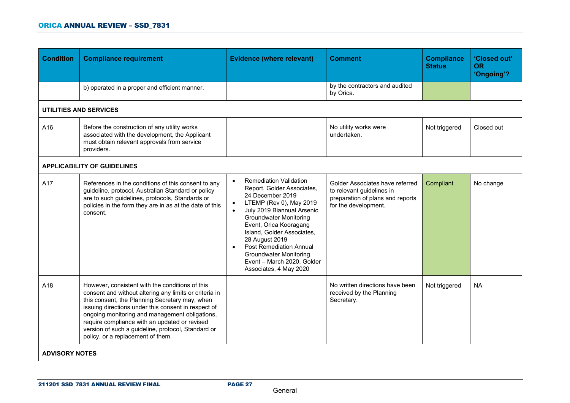| <b>Condition</b>      | <b>Compliance requirement</b>                                                                                                                                                                                                                                                                                                                                                                                    | <b>Evidence (where relevant)</b>                                                                                                                                                                                                                                                                                                                                                                                      | <b>Comment</b>                                                                                                           | <b>Compliance</b><br><b>Status</b> | 'Closed out'<br><b>OR</b><br>'Ongoing'? |
|-----------------------|------------------------------------------------------------------------------------------------------------------------------------------------------------------------------------------------------------------------------------------------------------------------------------------------------------------------------------------------------------------------------------------------------------------|-----------------------------------------------------------------------------------------------------------------------------------------------------------------------------------------------------------------------------------------------------------------------------------------------------------------------------------------------------------------------------------------------------------------------|--------------------------------------------------------------------------------------------------------------------------|------------------------------------|-----------------------------------------|
|                       | b) operated in a proper and efficient manner.                                                                                                                                                                                                                                                                                                                                                                    |                                                                                                                                                                                                                                                                                                                                                                                                                       | by the contractors and audited<br>by Orica.                                                                              |                                    |                                         |
|                       | <b>UTILITIES AND SERVICES</b>                                                                                                                                                                                                                                                                                                                                                                                    |                                                                                                                                                                                                                                                                                                                                                                                                                       |                                                                                                                          |                                    |                                         |
| A16                   | Before the construction of any utility works<br>associated with the development, the Applicant<br>must obtain relevant approvals from service<br>providers.                                                                                                                                                                                                                                                      |                                                                                                                                                                                                                                                                                                                                                                                                                       | No utility works were<br>undertaken.                                                                                     | Not triggered                      | Closed out                              |
|                       | <b>APPLICABILITY OF GUIDELINES</b>                                                                                                                                                                                                                                                                                                                                                                               |                                                                                                                                                                                                                                                                                                                                                                                                                       |                                                                                                                          |                                    |                                         |
| A17                   | References in the conditions of this consent to any<br>guideline, protocol, Australian Standard or policy<br>are to such guidelines, protocols, Standards or<br>policies in the form they are in as at the date of this<br>consent.                                                                                                                                                                              | <b>Remediation Validation</b><br>$\bullet$<br>Report, Golder Associates,<br>24 December 2019<br>LTEMP (Rev 0), May 2019<br>$\bullet$<br>July 2019 Biannual Arsenic<br>$\bullet$<br><b>Groundwater Monitoring</b><br>Event, Orica Kooragang<br>Island, Golder Associates,<br>28 August 2019<br><b>Post Remediation Annual</b><br><b>Groundwater Monitoring</b><br>Event - March 2020, Golder<br>Associates, 4 May 2020 | Golder Associates have referred<br>to relevant guidelines in<br>preparation of plans and reports<br>for the development. | Compliant                          | No change                               |
| A18                   | However, consistent with the conditions of this<br>consent and without altering any limits or criteria in<br>this consent, the Planning Secretary may, when<br>issuing directions under this consent in respect of<br>ongoing monitoring and management obligations,<br>require compliance with an updated or revised<br>version of such a guideline, protocol, Standard or<br>policy, or a replacement of them. |                                                                                                                                                                                                                                                                                                                                                                                                                       | No written directions have been<br>received by the Planning<br>Secretary.                                                | Not triggered                      | <b>NA</b>                               |
| <b>ADVISORY NOTES</b> |                                                                                                                                                                                                                                                                                                                                                                                                                  |                                                                                                                                                                                                                                                                                                                                                                                                                       |                                                                                                                          |                                    |                                         |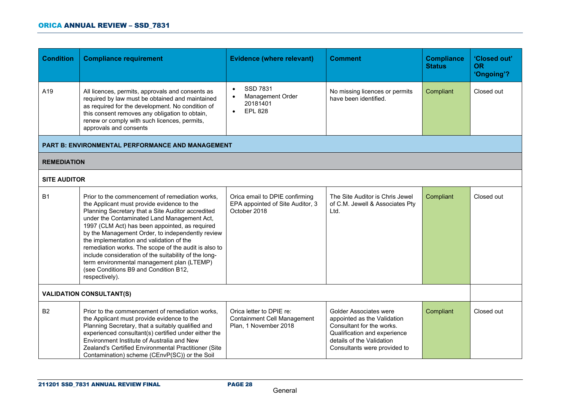| <b>Condition</b>    | <b>Compliance requirement</b>                                                                                                                                                                                                                                                                                                                                                                                                                                                                                                                                                 | <b>Evidence (where relevant)</b>                                                        | <b>Comment</b>                                                                                                                                                                         | <b>Compliance</b><br><b>Status</b> | 'Closed out'<br><b>OR</b><br>'Ongoing'? |
|---------------------|-------------------------------------------------------------------------------------------------------------------------------------------------------------------------------------------------------------------------------------------------------------------------------------------------------------------------------------------------------------------------------------------------------------------------------------------------------------------------------------------------------------------------------------------------------------------------------|-----------------------------------------------------------------------------------------|----------------------------------------------------------------------------------------------------------------------------------------------------------------------------------------|------------------------------------|-----------------------------------------|
| A19                 | All licences, permits, approvals and consents as<br>required by law must be obtained and maintained<br>as required for the development. No condition of<br>this consent removes any obligation to obtain,<br>renew or comply with such licences, permits,<br>approvals and consents                                                                                                                                                                                                                                                                                           | SSD 7831<br>Management Order<br>20181401<br><b>EPL 828</b><br>$\bullet$                 | No missing licences or permits<br>have been identified.                                                                                                                                | Compliant                          | Closed out                              |
|                     | <b>PART B: ENVIRONMENTAL PERFORMANCE AND MANAGEMENT</b>                                                                                                                                                                                                                                                                                                                                                                                                                                                                                                                       |                                                                                         |                                                                                                                                                                                        |                                    |                                         |
| <b>REMEDIATION</b>  |                                                                                                                                                                                                                                                                                                                                                                                                                                                                                                                                                                               |                                                                                         |                                                                                                                                                                                        |                                    |                                         |
| <b>SITE AUDITOR</b> |                                                                                                                                                                                                                                                                                                                                                                                                                                                                                                                                                                               |                                                                                         |                                                                                                                                                                                        |                                    |                                         |
| <b>B1</b>           | Prior to the commencement of remediation works,<br>the Applicant must provide evidence to the<br>Planning Secretary that a Site Auditor accredited<br>under the Contaminated Land Management Act,<br>1997 (CLM Act) has been appointed, as required<br>by the Management Order, to independently review<br>the implementation and validation of the<br>remediation works. The scope of the audit is also to<br>include consideration of the suitability of the long-<br>term environmental management plan (LTEMP)<br>(see Conditions B9 and Condition B12,<br>respectively). | Orica email to DPIE confirming<br>EPA appointed of Site Auditor, 3<br>October 2018      | The Site Auditor is Chris Jewel<br>of C.M. Jewell & Associates Pty<br>Ltd.                                                                                                             | Compliant                          | Closed out                              |
|                     | <b>VALIDATION CONSULTANT(S)</b>                                                                                                                                                                                                                                                                                                                                                                                                                                                                                                                                               |                                                                                         |                                                                                                                                                                                        |                                    |                                         |
| B <sub>2</sub>      | Prior to the commencement of remediation works,<br>the Applicant must provide evidence to the<br>Planning Secretary, that a suitably qualified and<br>experienced consultant(s) certified under either the<br>Environment Institute of Australia and New<br>Zealand's Certified Environmental Practitioner (Site<br>Contamination) scheme (CEnvP(SC)) or the Soil                                                                                                                                                                                                             | Orica letter to DPIE re:<br><b>Containment Cell Management</b><br>Plan, 1 November 2018 | <b>Golder Associates were</b><br>appointed as the Validation<br>Consultant for the works.<br>Qualification and experience<br>details of the Validation<br>Consultants were provided to | Compliant                          | Closed out                              |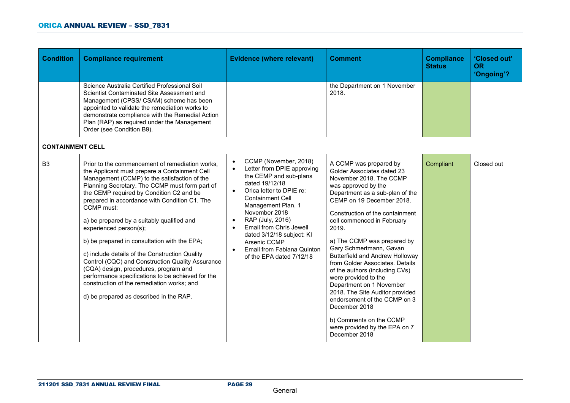| <b>Condition</b>        | <b>Compliance requirement</b>                                                                                                                                                                                                                                                                                                                                                                                                                                                                                                                                                                                                                                                                                                      | <b>Evidence (where relevant)</b>                                                                                                                                                                                                                                                                                                                                                                                     | <b>Comment</b>                                                                                                                                                                                                                                                                                                                                                                                                                                                                                                                                                                                                                                 | <b>Compliance</b><br><b>Status</b> | 'Closed out'<br><b>OR</b><br>'Ongoing'? |
|-------------------------|------------------------------------------------------------------------------------------------------------------------------------------------------------------------------------------------------------------------------------------------------------------------------------------------------------------------------------------------------------------------------------------------------------------------------------------------------------------------------------------------------------------------------------------------------------------------------------------------------------------------------------------------------------------------------------------------------------------------------------|----------------------------------------------------------------------------------------------------------------------------------------------------------------------------------------------------------------------------------------------------------------------------------------------------------------------------------------------------------------------------------------------------------------------|------------------------------------------------------------------------------------------------------------------------------------------------------------------------------------------------------------------------------------------------------------------------------------------------------------------------------------------------------------------------------------------------------------------------------------------------------------------------------------------------------------------------------------------------------------------------------------------------------------------------------------------------|------------------------------------|-----------------------------------------|
|                         | Science Australia Certified Professional Soil<br>Scientist Contaminated Site Assessment and<br>Management (CPSS/ CSAM) scheme has been<br>appointed to validate the remediation works to<br>demonstrate compliance with the Remedial Action<br>Plan (RAP) as required under the Management<br>Order (see Condition B9).                                                                                                                                                                                                                                                                                                                                                                                                            |                                                                                                                                                                                                                                                                                                                                                                                                                      | the Department on 1 November<br>2018.                                                                                                                                                                                                                                                                                                                                                                                                                                                                                                                                                                                                          |                                    |                                         |
| <b>CONTAINMENT CELL</b> |                                                                                                                                                                                                                                                                                                                                                                                                                                                                                                                                                                                                                                                                                                                                    |                                                                                                                                                                                                                                                                                                                                                                                                                      |                                                                                                                                                                                                                                                                                                                                                                                                                                                                                                                                                                                                                                                |                                    |                                         |
| B <sub>3</sub>          | Prior to the commencement of remediation works,<br>the Applicant must prepare a Containment Cell<br>Management (CCMP) to the satisfaction of the<br>Planning Secretary. The CCMP must form part of<br>the CEMP required by Condition C2 and be<br>prepared in accordance with Condition C1. The<br>CCMP must:<br>a) be prepared by a suitably qualified and<br>experienced person(s);<br>b) be prepared in consultation with the EPA;<br>c) include details of the Construction Quality<br>Control (CQC) and Construction Quality Assurance<br>(CQA) design, procedures, program and<br>performance specifications to be achieved for the<br>construction of the remediation works; and<br>d) be prepared as described in the RAP. | CCMP (November, 2018)<br>$\bullet$<br>Letter from DPIE approving<br>$\bullet$<br>the CEMP and sub-plans<br>dated 19/12/18<br>Orica letter to DPIE re:<br>$\bullet$<br><b>Containment Cell</b><br>Management Plan, 1<br>November 2018<br>RAP (July, 2016)<br>$\bullet$<br>Email from Chris Jewell<br>dated 3/12/18 subject: KI<br>Arsenic CCMP<br>Email from Fabiana Quinton<br>$\bullet$<br>of the EPA dated 7/12/18 | A CCMP was prepared by<br>Golder Associates dated 23<br>November 2018. The CCMP<br>was approved by the<br>Department as a sub-plan of the<br>CEMP on 19 December 2018.<br>Construction of the containment<br>cell commenced in February<br>2019.<br>a) The CCMP was prepared by<br>Gary Schmertmann, Gavan<br><b>Butterfield and Andrew Holloway</b><br>from Golder Associates. Details<br>of the authors (including CVs)<br>were provided to the<br>Department on 1 November<br>2018. The Site Auditor provided<br>endorsement of the CCMP on 3<br>December 2018<br>b) Comments on the CCMP<br>were provided by the EPA on 7<br>December 2018 | Compliant                          | Closed out                              |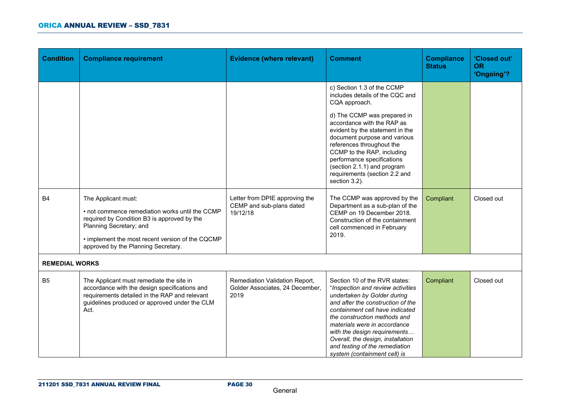| <b>Condition</b>      | <b>Compliance requirement</b>                                                                                                                                                                                                               | <b>Evidence (where relevant)</b>                                          | <b>Comment</b>                                                                                                                                                                                                                                                                                                                                                                   | <b>Compliance</b><br><b>Status</b> | 'Closed out'<br><b>OR</b><br>'Ongoing'? |
|-----------------------|---------------------------------------------------------------------------------------------------------------------------------------------------------------------------------------------------------------------------------------------|---------------------------------------------------------------------------|----------------------------------------------------------------------------------------------------------------------------------------------------------------------------------------------------------------------------------------------------------------------------------------------------------------------------------------------------------------------------------|------------------------------------|-----------------------------------------|
|                       |                                                                                                                                                                                                                                             |                                                                           | c) Section 1.3 of the CCMP<br>includes details of the CQC and<br>CQA approach.                                                                                                                                                                                                                                                                                                   |                                    |                                         |
|                       |                                                                                                                                                                                                                                             |                                                                           | d) The CCMP was prepared in<br>accordance with the RAP as<br>evident by the statement in the<br>document purpose and various<br>references throughout the<br>CCMP to the RAP, including<br>performance specifications<br>(section 2.1.1) and program<br>requirements (section 2.2 and<br>section 3.2).                                                                           |                                    |                                         |
| <b>B4</b>             | The Applicant must:<br>• not commence remediation works until the CCMP<br>required by Condition B3 is approved by the<br>Planning Secretary; and<br>• implement the most recent version of the CQCMP<br>approved by the Planning Secretary. | Letter from DPIE approving the<br>CEMP and sub-plans dated<br>19/12/18    | The CCMP was approved by the<br>Department as a sub-plan of the<br>CEMP on 19 December 2018.<br>Construction of the containment<br>cell commenced in February<br>2019.                                                                                                                                                                                                           | Compliant                          | Closed out                              |
| <b>REMEDIAL WORKS</b> |                                                                                                                                                                                                                                             |                                                                           |                                                                                                                                                                                                                                                                                                                                                                                  |                                    |                                         |
| B <sub>5</sub>        | The Applicant must remediate the site in<br>accordance with the design specifications and<br>requirements detailed in the RAP and relevant<br>guidelines produced or approved under the CLM<br>Act.                                         | Remediation Validation Report,<br>Golder Associates, 24 December,<br>2019 | Section 10 of the RVR states:<br>"Inspection and review activities<br>undertaken by Golder during<br>and after the construction of the<br>containment cell have indicated<br>the construction methods and<br>materials were in accordance<br>with the design requirements<br>Overall, the design, installation<br>and testing of the remediation<br>system (containment cell) is | Compliant                          | Closed out                              |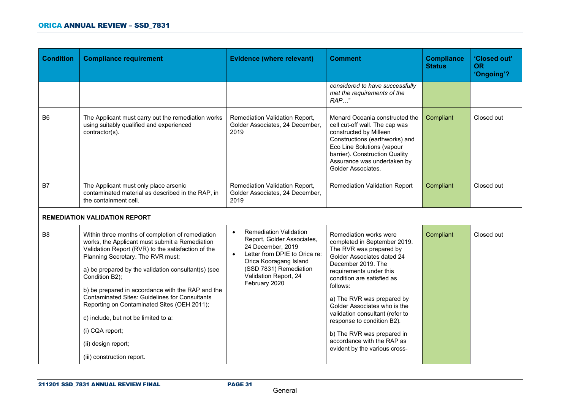| <b>Condition</b> | <b>Compliance requirement</b>                                                                                                                                                                                                                                                                                                                                                                                                                                                                                                                       | <b>Evidence (where relevant)</b>                                                                                                                                                                                                          | <b>Comment</b>                                                                                                                                                                                                                                                                                                                                                                                                                         | <b>Compliance</b><br><b>Status</b> | 'Closed out'<br><b>OR</b><br>'Ongoing'? |
|------------------|-----------------------------------------------------------------------------------------------------------------------------------------------------------------------------------------------------------------------------------------------------------------------------------------------------------------------------------------------------------------------------------------------------------------------------------------------------------------------------------------------------------------------------------------------------|-------------------------------------------------------------------------------------------------------------------------------------------------------------------------------------------------------------------------------------------|----------------------------------------------------------------------------------------------------------------------------------------------------------------------------------------------------------------------------------------------------------------------------------------------------------------------------------------------------------------------------------------------------------------------------------------|------------------------------------|-----------------------------------------|
|                  |                                                                                                                                                                                                                                                                                                                                                                                                                                                                                                                                                     |                                                                                                                                                                                                                                           | considered to have successfully<br>met the requirements of the<br>$RAP$ "                                                                                                                                                                                                                                                                                                                                                              |                                    |                                         |
| B <sub>6</sub>   | The Applicant must carry out the remediation works<br>using suitably qualified and experienced<br>contractor(s).                                                                                                                                                                                                                                                                                                                                                                                                                                    | Remediation Validation Report,<br>Golder Associates, 24 December,<br>2019                                                                                                                                                                 | Menard Oceania constructed the<br>cell cut-off wall. The cap was<br>constructed by Milleen<br>Constructions (earthworks) and<br>Eco Line Solutions (vapour<br>barrier). Construction Quality<br>Assurance was undertaken by<br>Golder Associates.                                                                                                                                                                                      | Compliant                          | Closed out                              |
| B7               | The Applicant must only place arsenic<br>contaminated material as described in the RAP, in<br>the containment cell.                                                                                                                                                                                                                                                                                                                                                                                                                                 | Remediation Validation Report,<br>Golder Associates, 24 December,<br>2019                                                                                                                                                                 | <b>Remediation Validation Report</b>                                                                                                                                                                                                                                                                                                                                                                                                   | Compliant                          | Closed out                              |
|                  | <b>REMEDIATION VALIDATION REPORT</b>                                                                                                                                                                                                                                                                                                                                                                                                                                                                                                                |                                                                                                                                                                                                                                           |                                                                                                                                                                                                                                                                                                                                                                                                                                        |                                    |                                         |
| B <sub>8</sub>   | Within three months of completion of remediation<br>works, the Applicant must submit a Remediation<br>Validation Report (RVR) to the satisfaction of the<br>Planning Secretary. The RVR must:<br>a) be prepared by the validation consultant(s) (see<br>Condition B2);<br>b) be prepared in accordance with the RAP and the<br><b>Contaminated Sites: Guidelines for Consultants</b><br>Reporting on Contaminated Sites (OEH 2011);<br>c) include, but not be limited to a:<br>(i) CQA report;<br>(ii) design report;<br>(iii) construction report. | <b>Remediation Validation</b><br>$\bullet$<br>Report, Golder Associates,<br>24 December, 2019<br>Letter from DPIE to Orica re:<br>$\bullet$<br>Orica Kooragang Island<br>(SSD 7831) Remediation<br>Validation Report, 24<br>February 2020 | Remediation works were<br>completed in September 2019.<br>The RVR was prepared by<br>Golder Associates dated 24<br>December 2019. The<br>requirements under this<br>condition are satisfied as<br>follows:<br>a) The RVR was prepared by<br>Golder Associates who is the<br>validation consultant (refer to<br>response to condition B2).<br>b) The RVR was prepared in<br>accordance with the RAP as<br>evident by the various cross- | Compliant                          | Closed out                              |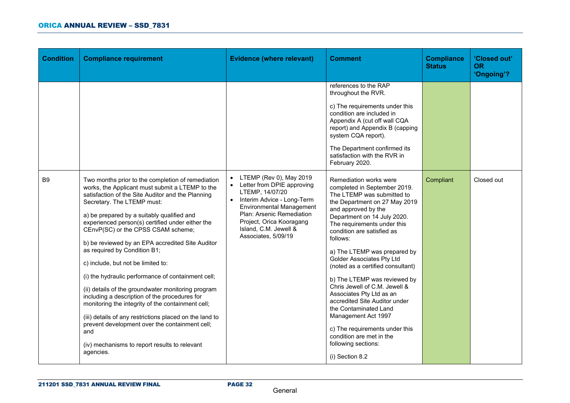| <b>Condition</b> | <b>Compliance requirement</b>                                                                                                                                                                                                                                                                                                                                                                                                                                                                                                                                                                                                                                                                                                                                                                                                                                 | <b>Evidence (where relevant)</b>                                                                                                                                                                                                                                | <b>Comment</b>                                                                                                                                                                                                                                                                                                                                                                                                                                                                                                                                                                                                                                      | <b>Compliance</b><br><b>Status</b> | 'Closed out'<br>OR.<br>'Ongoing'? |
|------------------|---------------------------------------------------------------------------------------------------------------------------------------------------------------------------------------------------------------------------------------------------------------------------------------------------------------------------------------------------------------------------------------------------------------------------------------------------------------------------------------------------------------------------------------------------------------------------------------------------------------------------------------------------------------------------------------------------------------------------------------------------------------------------------------------------------------------------------------------------------------|-----------------------------------------------------------------------------------------------------------------------------------------------------------------------------------------------------------------------------------------------------------------|-----------------------------------------------------------------------------------------------------------------------------------------------------------------------------------------------------------------------------------------------------------------------------------------------------------------------------------------------------------------------------------------------------------------------------------------------------------------------------------------------------------------------------------------------------------------------------------------------------------------------------------------------------|------------------------------------|-----------------------------------|
|                  |                                                                                                                                                                                                                                                                                                                                                                                                                                                                                                                                                                                                                                                                                                                                                                                                                                                               |                                                                                                                                                                                                                                                                 | references to the RAP<br>throughout the RVR.<br>c) The requirements under this<br>condition are included in<br>Appendix A (cut off wall CQA<br>report) and Appendix B (capping<br>system CQA report).<br>The Department confirmed its<br>satisfaction with the RVR in<br>February 2020.                                                                                                                                                                                                                                                                                                                                                             |                                    |                                   |
| B <sub>9</sub>   | Two months prior to the completion of remediation<br>works, the Applicant must submit a LTEMP to the<br>satisfaction of the Site Auditor and the Planning<br>Secretary. The LTEMP must:<br>a) be prepared by a suitably qualified and<br>experienced person(s) certified under either the<br>CEnvP(SC) or the CPSS CSAM scheme;<br>b) be reviewed by an EPA accredited Site Auditor<br>as required by Condition B1;<br>c) include, but not be limited to:<br>(i) the hydraulic performance of containment cell;<br>(ii) details of the groundwater monitoring program<br>including a description of the procedures for<br>monitoring the integrity of the containment cell;<br>(iii) details of any restrictions placed on the land to<br>prevent development over the containment cell;<br>and<br>(iv) mechanisms to report results to relevant<br>agencies. | LTEMP (Rev 0), May 2019<br>Letter from DPIE approving<br>$\bullet$<br>LTEMP, 14/07/20<br>Interim Advice - Long-Term<br><b>Environmental Management</b><br>Plan: Arsenic Remediation<br>Project, Orica Kooragang<br>Island, C.M. Jewell &<br>Associates, 5/09/19 | Remediation works were<br>completed in September 2019.<br>The LTEMP was submitted to<br>the Department on 27 May 2019<br>and approved by the<br>Department on 14 July 2020.<br>The requirements under this<br>condition are satisfied as<br>follows:<br>a) The LTEMP was prepared by<br><b>Golder Associates Pty Ltd</b><br>(noted as a certified consultant)<br>b) The LTEMP was reviewed by<br>Chris Jewell of C.M. Jewell &<br>Associates Pty Ltd as an<br>accredited Site Auditor under<br>the Contaminated Land<br>Management Act 1997<br>c) The requirements under this<br>condition are met in the<br>following sections:<br>(i) Section 8.2 | Compliant                          | Closed out                        |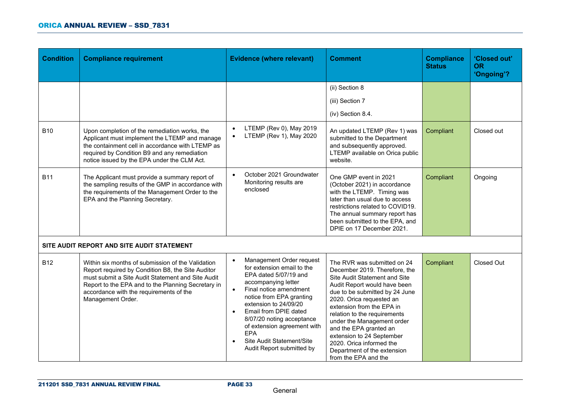| <b>Condition</b> | <b>Compliance requirement</b>                                                                                                                                                                                                                                                     | <b>Evidence (where relevant)</b>                                                                                                                                                                                                                                                                                                                                                          | <b>Comment</b>                                                                                                                                                                                                                                                                                                                                                                                                                   | <b>Compliance</b><br><b>Status</b> | 'Closed out'<br><b>OR</b><br>'Ongoing'? |
|------------------|-----------------------------------------------------------------------------------------------------------------------------------------------------------------------------------------------------------------------------------------------------------------------------------|-------------------------------------------------------------------------------------------------------------------------------------------------------------------------------------------------------------------------------------------------------------------------------------------------------------------------------------------------------------------------------------------|----------------------------------------------------------------------------------------------------------------------------------------------------------------------------------------------------------------------------------------------------------------------------------------------------------------------------------------------------------------------------------------------------------------------------------|------------------------------------|-----------------------------------------|
|                  |                                                                                                                                                                                                                                                                                   |                                                                                                                                                                                                                                                                                                                                                                                           | (ii) Section 8<br>(iii) Section 7<br>(iv) Section 8.4.                                                                                                                                                                                                                                                                                                                                                                           |                                    |                                         |
| <b>B10</b>       | Upon completion of the remediation works, the<br>Applicant must implement the LTEMP and manage<br>the containment cell in accordance with LTEMP as<br>required by Condition B9 and any remediation<br>notice issued by the EPA under the CLM Act.                                 | LTEMP (Rev 0), May 2019<br>LTEMP (Rev 1), May 2020                                                                                                                                                                                                                                                                                                                                        | An updated LTEMP (Rev 1) was<br>submitted to the Department<br>and subsequently approved.<br>LTEMP available on Orica public<br>website.                                                                                                                                                                                                                                                                                         | Compliant                          | Closed out                              |
| <b>B11</b>       | The Applicant must provide a summary report of<br>the sampling results of the GMP in accordance with<br>the requirements of the Management Order to the<br>EPA and the Planning Secretary.                                                                                        | October 2021 Groundwater<br>$\bullet$<br>Monitoring results are<br>enclosed                                                                                                                                                                                                                                                                                                               | One GMP event in 2021<br>(October 2021) in accordance<br>with the LTEMP. Timing was<br>later than usual due to access<br>restrictions related to COVID19.<br>The annual summary report has<br>been submitted to the EPA, and<br>DPIE on 17 December 2021.                                                                                                                                                                        | Compliant                          | Ongoing                                 |
|                  | SITE AUDIT REPORT AND SITE AUDIT STATEMENT                                                                                                                                                                                                                                        |                                                                                                                                                                                                                                                                                                                                                                                           |                                                                                                                                                                                                                                                                                                                                                                                                                                  |                                    |                                         |
| <b>B12</b>       | Within six months of submission of the Validation<br>Report required by Condition B8, the Site Auditor<br>must submit a Site Audit Statement and Site Audit<br>Report to the EPA and to the Planning Secretary in<br>accordance with the requirements of the<br>Management Order. | Management Order request<br>$\bullet$<br>for extension email to the<br>EPA dated 5/07/19 and<br>accompanying letter<br>Final notice amendment<br>$\bullet$<br>notice from EPA granting<br>extension to 24/09/20<br>Email from DPIE dated<br>$\bullet$<br>8/07/20 noting acceptance<br>of extension agreement with<br><b>EPA</b><br>Site Audit Statement/Site<br>Audit Report submitted by | The RVR was submitted on 24<br>December 2019. Therefore, the<br>Site Audit Statement and Site<br>Audit Report would have been<br>due to be submitted by 24 June<br>2020. Orica requested an<br>extension from the EPA in<br>relation to the requirements<br>under the Management order<br>and the EPA granted an<br>extension to 24 September<br>2020. Orica informed the<br>Department of the extension<br>from the EPA and the | Compliant                          | Closed Out                              |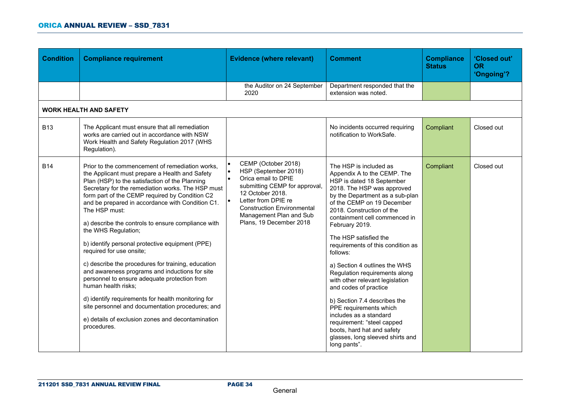| <b>Condition</b> | <b>Compliance requirement</b>                                                                                                                                                                                                                                                                                                                                                                                                                                                                                                                                                                                                                                                                                                                                                                                                                            | <b>Evidence (where relevant)</b>                                                                                                                                                                                                          | <b>Comment</b>                                                                                                                                                                                                                                                                                                                                                                                                                                                                                                                                                                                                                                                                | <b>Compliance</b><br><b>Status</b> | 'Closed out'<br><b>OR</b><br>'Ongoing'? |
|------------------|----------------------------------------------------------------------------------------------------------------------------------------------------------------------------------------------------------------------------------------------------------------------------------------------------------------------------------------------------------------------------------------------------------------------------------------------------------------------------------------------------------------------------------------------------------------------------------------------------------------------------------------------------------------------------------------------------------------------------------------------------------------------------------------------------------------------------------------------------------|-------------------------------------------------------------------------------------------------------------------------------------------------------------------------------------------------------------------------------------------|-------------------------------------------------------------------------------------------------------------------------------------------------------------------------------------------------------------------------------------------------------------------------------------------------------------------------------------------------------------------------------------------------------------------------------------------------------------------------------------------------------------------------------------------------------------------------------------------------------------------------------------------------------------------------------|------------------------------------|-----------------------------------------|
|                  |                                                                                                                                                                                                                                                                                                                                                                                                                                                                                                                                                                                                                                                                                                                                                                                                                                                          | the Auditor on 24 September<br>2020                                                                                                                                                                                                       | Department responded that the<br>extension was noted.                                                                                                                                                                                                                                                                                                                                                                                                                                                                                                                                                                                                                         |                                    |                                         |
|                  | <b>WORK HEALTH AND SAFETY</b>                                                                                                                                                                                                                                                                                                                                                                                                                                                                                                                                                                                                                                                                                                                                                                                                                            |                                                                                                                                                                                                                                           |                                                                                                                                                                                                                                                                                                                                                                                                                                                                                                                                                                                                                                                                               |                                    |                                         |
| <b>B13</b>       | The Applicant must ensure that all remediation<br>works are carried out in accordance with NSW<br>Work Health and Safety Regulation 2017 (WHS<br>Regulation).                                                                                                                                                                                                                                                                                                                                                                                                                                                                                                                                                                                                                                                                                            |                                                                                                                                                                                                                                           | No incidents occurred requiring<br>notification to WorkSafe.                                                                                                                                                                                                                                                                                                                                                                                                                                                                                                                                                                                                                  | Compliant                          | Closed out                              |
| <b>B14</b>       | Prior to the commencement of remediation works,<br>the Applicant must prepare a Health and Safety<br>Plan (HSP) to the satisfaction of the Planning<br>Secretary for the remediation works. The HSP must<br>form part of the CEMP required by Condition C2<br>and be prepared in accordance with Condition C1.<br>The HSP must:<br>a) describe the controls to ensure compliance with<br>the WHS Regulation;<br>b) identify personal protective equipment (PPE)<br>required for use onsite;<br>c) describe the procedures for training, education<br>and awareness programs and inductions for site<br>personnel to ensure adequate protection from<br>human health risks;<br>d) identify requirements for health monitoring for<br>site personnel and documentation procedures; and<br>e) details of exclusion zones and decontamination<br>procedures. | CEMP (October 2018)<br>HSP (September 2018)<br>Orica email to DPIE<br>submitting CEMP for approval,<br>12 October 2018.<br>Letter from DPIE re<br><b>Construction Environmental</b><br>Management Plan and Sub<br>Plans, 19 December 2018 | The HSP is included as<br>Appendix A to the CEMP. The<br>HSP is dated 18 September<br>2018. The HSP was approved<br>by the Department as a sub-plan<br>of the CEMP on 19 December<br>2018. Construction of the<br>containment cell commenced in<br>February 2019.<br>The HSP satisfied the<br>requirements of this condition as<br>follows:<br>a) Section 4 outlines the WHS<br>Regulation requirements along<br>with other relevant legislation<br>and codes of practice<br>b) Section 7.4 describes the<br>PPE requirements which<br>includes as a standard<br>requirement: "steel capped<br>boots, hard hat and safety<br>glasses, long sleeved shirts and<br>long pants". | Compliant                          | Closed out                              |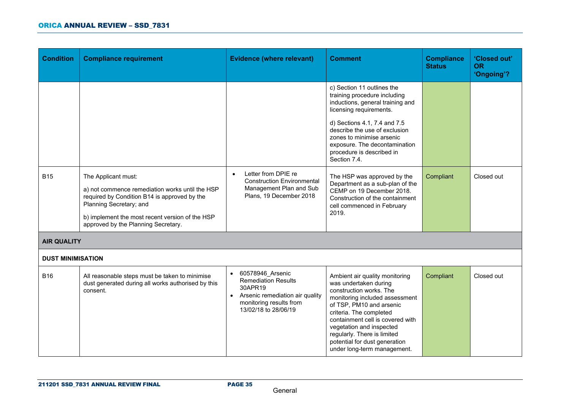| <b>Condition</b>         | <b>Compliance requirement</b>                                                                                                                                                                                                               | <b>Evidence (where relevant)</b>                                                                                                                  | <b>Comment</b>                                                                                                                                                                                                                                                                                                                             | <b>Compliance</b><br><b>Status</b> | 'Closed out'<br><b>OR</b><br>'Ongoing'? |
|--------------------------|---------------------------------------------------------------------------------------------------------------------------------------------------------------------------------------------------------------------------------------------|---------------------------------------------------------------------------------------------------------------------------------------------------|--------------------------------------------------------------------------------------------------------------------------------------------------------------------------------------------------------------------------------------------------------------------------------------------------------------------------------------------|------------------------------------|-----------------------------------------|
|                          |                                                                                                                                                                                                                                             |                                                                                                                                                   | c) Section 11 outlines the<br>training procedure including<br>inductions, general training and<br>licensing requirements.<br>d) Sections 4.1, 7.4 and 7.5                                                                                                                                                                                  |                                    |                                         |
|                          |                                                                                                                                                                                                                                             |                                                                                                                                                   | describe the use of exclusion<br>zones to minimise arsenic<br>exposure. The decontamination<br>procedure is described in<br>Section 7.4.                                                                                                                                                                                                   |                                    |                                         |
| <b>B15</b>               | The Applicant must:<br>a) not commence remediation works until the HSP<br>required by Condition B14 is approved by the<br>Planning Secretary; and<br>b) implement the most recent version of the HSP<br>approved by the Planning Secretary. | Letter from DPIE re<br>$\bullet$<br><b>Construction Environmental</b><br>Management Plan and Sub<br>Plans, 19 December 2018                       | The HSP was approved by the<br>Department as a sub-plan of the<br>CEMP on 19 December 2018.<br>Construction of the containment<br>cell commenced in February<br>2019.                                                                                                                                                                      | Compliant                          | Closed out                              |
| <b>AIR QUALITY</b>       |                                                                                                                                                                                                                                             |                                                                                                                                                   |                                                                                                                                                                                                                                                                                                                                            |                                    |                                         |
| <b>DUST MINIMISATION</b> |                                                                                                                                                                                                                                             |                                                                                                                                                   |                                                                                                                                                                                                                                                                                                                                            |                                    |                                         |
| <b>B16</b>               | All reasonable steps must be taken to minimise<br>dust generated during all works authorised by this<br>consent.                                                                                                                            | 60578946_Arsenic<br><b>Remediation Results</b><br>30APR19<br>• Arsenic remediation air quality<br>monitoring results from<br>13/02/18 to 28/06/19 | Ambient air quality monitoring<br>was undertaken during<br>construction works. The<br>monitoring included assessment<br>of TSP, PM10 and arsenic<br>criteria. The completed<br>containment cell is covered with<br>vegetation and inspected<br>regularly. There is limited<br>potential for dust generation<br>under long-term management. | Compliant                          | Closed out                              |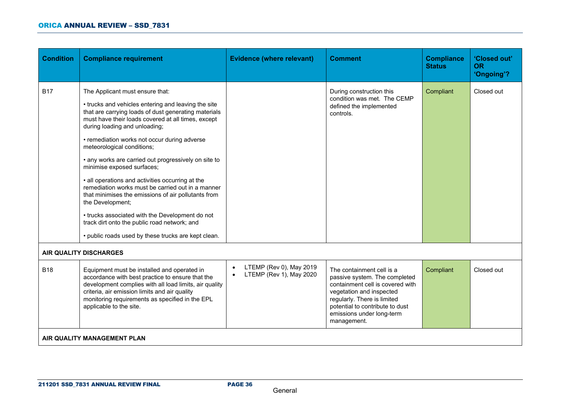| <b>Condition</b> | <b>Compliance requirement</b>                                                                                                                                                                                                                                                                                                                                                                                                                                                                                                                                                                                                                                                                                                                           | <b>Evidence (where relevant)</b>                                | <b>Comment</b>                                                                                                                                                                                                                           | <b>Compliance</b><br><b>Status</b> | 'Closed out'<br><b>OR</b><br>'Ongoing'? |
|------------------|---------------------------------------------------------------------------------------------------------------------------------------------------------------------------------------------------------------------------------------------------------------------------------------------------------------------------------------------------------------------------------------------------------------------------------------------------------------------------------------------------------------------------------------------------------------------------------------------------------------------------------------------------------------------------------------------------------------------------------------------------------|-----------------------------------------------------------------|------------------------------------------------------------------------------------------------------------------------------------------------------------------------------------------------------------------------------------------|------------------------------------|-----------------------------------------|
| <b>B17</b>       | The Applicant must ensure that:<br>• trucks and vehicles entering and leaving the site<br>that are carrying loads of dust generating materials<br>must have their loads covered at all times, except<br>during loading and unloading;<br>• remediation works not occur during adverse<br>meteorological conditions;<br>• any works are carried out progressively on site to<br>minimise exposed surfaces;<br>• all operations and activities occurring at the<br>remediation works must be carried out in a manner<br>that minimises the emissions of air pollutants from<br>the Development;<br>• trucks associated with the Development do not<br>track dirt onto the public road network; and<br>• public roads used by these trucks are kept clean. |                                                                 | During construction this<br>condition was met. The CEMP<br>defined the implemented<br>controls.                                                                                                                                          | Compliant                          | Closed out                              |
|                  | <b>AIR QUALITY DISCHARGES</b>                                                                                                                                                                                                                                                                                                                                                                                                                                                                                                                                                                                                                                                                                                                           |                                                                 |                                                                                                                                                                                                                                          |                                    |                                         |
| <b>B18</b>       | Equipment must be installed and operated in<br>accordance with best practice to ensure that the<br>development complies with all load limits, air quality<br>criteria, air emission limits and air quality<br>monitoring requirements as specified in the EPL<br>applicable to the site.                                                                                                                                                                                                                                                                                                                                                                                                                                                                | LTEMP (Rev 0), May 2019<br>$\bullet$<br>LTEMP (Rev 1), May 2020 | The containment cell is a<br>passive system. The completed<br>containment cell is covered with<br>vegetation and inspected<br>regularly. There is limited<br>potential to contribute to dust<br>emissions under long-term<br>management. | Compliant                          | Closed out                              |
|                  | AIR QUALITY MANAGEMENT PLAN                                                                                                                                                                                                                                                                                                                                                                                                                                                                                                                                                                                                                                                                                                                             |                                                                 |                                                                                                                                                                                                                                          |                                    |                                         |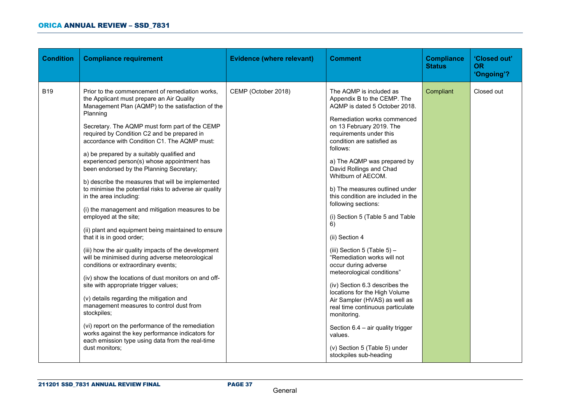#### ORICA ANNUAL REVIEW – SSD\_7831

| <b>Condition</b> | <b>Compliance requirement</b>                                                                                                                                                                                                                                                                                                                                                                                                                                                                                                                                                                                                                                                                                                                                                                                                                                                                                                                                                                                                                                                                                                                                                                                                                                                                              | <b>Evidence (where relevant)</b> | <b>Comment</b>                                                                                                                                                                                                                                                                                                                                                                                                                                                                                                                                                                                                                                                                                                                                                                                                                                              | <b>Compliance</b><br><b>Status</b> | 'Closed out'<br><b>OR</b><br>'Ongoing'? |
|------------------|------------------------------------------------------------------------------------------------------------------------------------------------------------------------------------------------------------------------------------------------------------------------------------------------------------------------------------------------------------------------------------------------------------------------------------------------------------------------------------------------------------------------------------------------------------------------------------------------------------------------------------------------------------------------------------------------------------------------------------------------------------------------------------------------------------------------------------------------------------------------------------------------------------------------------------------------------------------------------------------------------------------------------------------------------------------------------------------------------------------------------------------------------------------------------------------------------------------------------------------------------------------------------------------------------------|----------------------------------|-------------------------------------------------------------------------------------------------------------------------------------------------------------------------------------------------------------------------------------------------------------------------------------------------------------------------------------------------------------------------------------------------------------------------------------------------------------------------------------------------------------------------------------------------------------------------------------------------------------------------------------------------------------------------------------------------------------------------------------------------------------------------------------------------------------------------------------------------------------|------------------------------------|-----------------------------------------|
| <b>B19</b>       | Prior to the commencement of remediation works,<br>the Applicant must prepare an Air Quality<br>Management Plan (AQMP) to the satisfaction of the<br>Planning<br>Secretary. The AQMP must form part of the CEMP<br>required by Condition C2 and be prepared in<br>accordance with Condition C1. The AQMP must:<br>a) be prepared by a suitably qualified and<br>experienced person(s) whose appointment has<br>been endorsed by the Planning Secretary;<br>b) describe the measures that will be implemented<br>to minimise the potential risks to adverse air quality<br>in the area including:<br>(i) the management and mitigation measures to be<br>employed at the site;<br>(ii) plant and equipment being maintained to ensure<br>that it is in good order;<br>(iii) how the air quality impacts of the development<br>will be minimised during adverse meteorological<br>conditions or extraordinary events;<br>(iv) show the locations of dust monitors on and off-<br>site with appropriate trigger values;<br>(v) details regarding the mitigation and<br>management measures to control dust from<br>stockpiles;<br>(vi) report on the performance of the remediation<br>works against the key performance indicators for<br>each emission type using data from the real-time<br>dust monitors; | CEMP (October 2018)              | The AQMP is included as<br>Appendix B to the CEMP. The<br>AQMP is dated 5 October 2018.<br>Remediation works commenced<br>on 13 February 2019. The<br>requirements under this<br>condition are satisfied as<br>follows:<br>a) The AQMP was prepared by<br>David Rollings and Chad<br>Whitburn of AECOM.<br>b) The measures outlined under<br>this condition are included in the<br>following sections:<br>(i) Section 5 (Table 5 and Table<br>6)<br>(ii) Section 4<br>(iii) Section 5 (Table $5$ ) -<br>"Remediation works will not<br>occur during adverse<br>meteorological conditions"<br>(iv) Section 6.3 describes the<br>locations for the High Volume<br>Air Sampler (HVAS) as well as<br>real time continuous particulate<br>monitoring.<br>Section 6.4 - air quality trigger<br>values.<br>(v) Section 5 (Table 5) under<br>stockpiles sub-heading | Compliant                          | Closed out                              |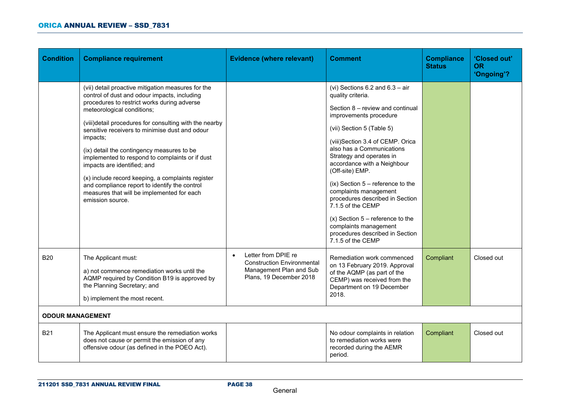| <b>Condition</b>        | <b>Compliance requirement</b>                                                                                                                                                                                                                                                                                                                                                                                                                                                                                                                                                                                   | <b>Evidence (where relevant)</b>                                                                                            | <b>Comment</b>                                                                                                                                                                                                                                                                                                                                                                                                                                                                                                                                  | <b>Compliance</b><br><b>Status</b> | 'Closed out'<br><b>OR</b><br>'Ongoing'? |
|-------------------------|-----------------------------------------------------------------------------------------------------------------------------------------------------------------------------------------------------------------------------------------------------------------------------------------------------------------------------------------------------------------------------------------------------------------------------------------------------------------------------------------------------------------------------------------------------------------------------------------------------------------|-----------------------------------------------------------------------------------------------------------------------------|-------------------------------------------------------------------------------------------------------------------------------------------------------------------------------------------------------------------------------------------------------------------------------------------------------------------------------------------------------------------------------------------------------------------------------------------------------------------------------------------------------------------------------------------------|------------------------------------|-----------------------------------------|
|                         | (vii) detail proactive mitigation measures for the<br>control of dust and odour impacts, including<br>procedures to restrict works during adverse<br>meteorological conditions;<br>(viii)detail procedures for consulting with the nearby<br>sensitive receivers to minimise dust and odour<br>impacts;<br>(ix) detail the contingency measures to be<br>implemented to respond to complaints or if dust<br>impacts are identified; and<br>(x) include record keeping, a complaints register<br>and compliance report to identify the control<br>measures that will be implemented for each<br>emission source. |                                                                                                                             | (vi) Sections 6.2 and $6.3 - air$<br>quality criteria.<br>Section 8 – review and continual<br>improvements procedure<br>(vii) Section 5 (Table 5)<br>(viii)Section 3.4 of CEMP. Orica<br>also has a Communications<br>Strategy and operates in<br>accordance with a Neighbour<br>(Off-site) EMP.<br>$(ix)$ Section 5 – reference to the<br>complaints management<br>procedures described in Section<br>7.1.5 of the CEMP<br>$(x)$ Section 5 – reference to the<br>complaints management<br>procedures described in Section<br>7.1.5 of the CEMP |                                    |                                         |
| <b>B20</b>              | The Applicant must:<br>a) not commence remediation works until the<br>AQMP required by Condition B19 is approved by<br>the Planning Secretary; and<br>b) implement the most recent.                                                                                                                                                                                                                                                                                                                                                                                                                             | Letter from DPIE re<br>$\bullet$<br><b>Construction Environmental</b><br>Management Plan and Sub<br>Plans, 19 December 2018 | Remediation work commenced<br>on 13 February 2019. Approval<br>of the AQMP (as part of the<br>CEMP) was received from the<br>Department on 19 December<br>2018.                                                                                                                                                                                                                                                                                                                                                                                 | Compliant                          | Closed out                              |
| <b>ODOUR MANAGEMENT</b> |                                                                                                                                                                                                                                                                                                                                                                                                                                                                                                                                                                                                                 |                                                                                                                             |                                                                                                                                                                                                                                                                                                                                                                                                                                                                                                                                                 |                                    |                                         |
| <b>B21</b>              | The Applicant must ensure the remediation works<br>does not cause or permit the emission of any<br>offensive odour (as defined in the POEO Act).                                                                                                                                                                                                                                                                                                                                                                                                                                                                |                                                                                                                             | No odour complaints in relation<br>to remediation works were<br>recorded during the AEMR<br>period.                                                                                                                                                                                                                                                                                                                                                                                                                                             | Compliant                          | Closed out                              |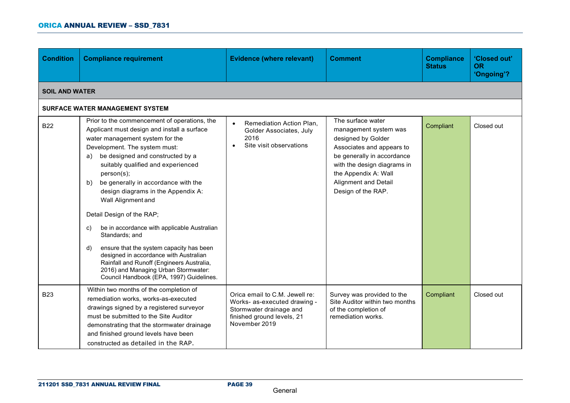| <b>Condition</b>      | <b>Compliance requirement</b>                                                                                                                                                                                                                                                                                                                                                                                                                                                                                                                                                                                                                                                                        | <b>Evidence (where relevant)</b>                                                                                                         | <b>Comment</b>                                                                                                                                                                                                                          | <b>Compliance</b><br><b>Status</b> | 'Closed out'<br><b>OR</b><br>'Ongoing'? |  |  |
|-----------------------|------------------------------------------------------------------------------------------------------------------------------------------------------------------------------------------------------------------------------------------------------------------------------------------------------------------------------------------------------------------------------------------------------------------------------------------------------------------------------------------------------------------------------------------------------------------------------------------------------------------------------------------------------------------------------------------------------|------------------------------------------------------------------------------------------------------------------------------------------|-----------------------------------------------------------------------------------------------------------------------------------------------------------------------------------------------------------------------------------------|------------------------------------|-----------------------------------------|--|--|
| <b>SOIL AND WATER</b> |                                                                                                                                                                                                                                                                                                                                                                                                                                                                                                                                                                                                                                                                                                      |                                                                                                                                          |                                                                                                                                                                                                                                         |                                    |                                         |  |  |
|                       | <b>SURFACE WATER MANAGEMENT SYSTEM</b>                                                                                                                                                                                                                                                                                                                                                                                                                                                                                                                                                                                                                                                               |                                                                                                                                          |                                                                                                                                                                                                                                         |                                    |                                         |  |  |
| <b>B22</b>            | Prior to the commencement of operations, the<br>Applicant must design and install a surface<br>water management system for the<br>Development. The system must:<br>a) be designed and constructed by a<br>suitably qualified and experienced<br>person(s);<br>be generally in accordance with the<br>b)<br>design diagrams in the Appendix A:<br>Wall Alignment and<br>Detail Design of the RAP;<br>be in accordance with applicable Australian<br>C)<br>Standards; and<br>ensure that the system capacity has been<br>d)<br>designed in accordance with Australian<br>Rainfall and Runoff (Engineers Australia,<br>2016) and Managing Urban Stormwater:<br>Council Handbook (EPA, 1997) Guidelines. | Remediation Action Plan,<br>$\bullet$<br>Golder Associates, July<br>2016<br>Site visit observations                                      | The surface water<br>management system was<br>designed by Golder<br>Associates and appears to<br>be generally in accordance<br>with the design diagrams in<br>the Appendix A: Wall<br><b>Alignment and Detail</b><br>Design of the RAP. | Compliant                          | Closed out                              |  |  |
| <b>B23</b>            | Within two months of the completion of<br>remediation works, works-as-executed<br>drawings signed by a registered surveyor<br>must be submitted to the Site Auditor<br>demonstrating that the stormwater drainage<br>and finished ground levels have been<br>constructed as detailed in the RAP.                                                                                                                                                                                                                                                                                                                                                                                                     | Orica email to C.M. Jewell re:<br>Works- as-executed drawing -<br>Stormwater drainage and<br>finished ground levels, 21<br>November 2019 | Survey was provided to the<br>Site Auditor within two months<br>of the completion of<br>remediation works.                                                                                                                              | Compliant                          | Closed out                              |  |  |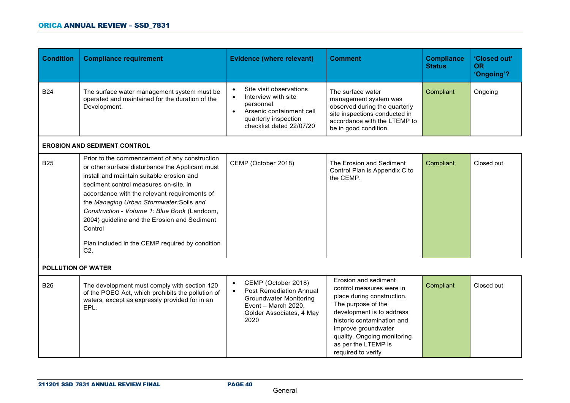| <b>Condition</b>          | <b>Compliance requirement</b>                                                                                                                                                                                                                                                                                                                                                                                                                                        | <b>Evidence (where relevant)</b>                                                                                                                                                   | <b>Comment</b>                                                                                                                                                                                                                                                     | <b>Compliance</b><br><b>Status</b> | 'Closed out'<br><b>OR</b><br>'Ongoing'? |
|---------------------------|----------------------------------------------------------------------------------------------------------------------------------------------------------------------------------------------------------------------------------------------------------------------------------------------------------------------------------------------------------------------------------------------------------------------------------------------------------------------|------------------------------------------------------------------------------------------------------------------------------------------------------------------------------------|--------------------------------------------------------------------------------------------------------------------------------------------------------------------------------------------------------------------------------------------------------------------|------------------------------------|-----------------------------------------|
| <b>B24</b>                | The surface water management system must be<br>operated and maintained for the duration of the<br>Development.                                                                                                                                                                                                                                                                                                                                                       | Site visit observations<br>$\bullet$<br>Interview with site<br>$\bullet$<br>personnel<br>Arsenic containment cell<br>$\bullet$<br>quarterly inspection<br>checklist dated 22/07/20 | The surface water<br>management system was<br>observed during the quarterly<br>site inspections conducted in<br>accordance with the LTEMP to<br>be in good condition.                                                                                              | Compliant                          | Ongoing                                 |
|                           | <b>EROSION AND SEDIMENT CONTROL</b>                                                                                                                                                                                                                                                                                                                                                                                                                                  |                                                                                                                                                                                    |                                                                                                                                                                                                                                                                    |                                    |                                         |
| <b>B25</b>                | Prior to the commencement of any construction<br>or other surface disturbance the Applicant must<br>install and maintain suitable erosion and<br>sediment control measures on-site, in<br>accordance with the relevant requirements of<br>the Managing Urban Stormwater: Soils and<br>Construction - Volume 1: Blue Book (Landcom,<br>2004) guideline and the Erosion and Sediment<br>Control<br>Plan included in the CEMP required by condition<br>C <sub>2</sub> . | CEMP (October 2018)                                                                                                                                                                | The Erosion and Sediment<br>Control Plan is Appendix C to<br>the CEMP.                                                                                                                                                                                             | Compliant                          | Closed out                              |
| <b>POLLUTION OF WATER</b> |                                                                                                                                                                                                                                                                                                                                                                                                                                                                      |                                                                                                                                                                                    |                                                                                                                                                                                                                                                                    |                                    |                                         |
| <b>B26</b>                | The development must comply with section 120<br>of the POEO Act, which prohibits the pollution of<br>waters, except as expressly provided for in an<br>EPL.                                                                                                                                                                                                                                                                                                          | CEMP (October 2018)<br>$\bullet$<br><b>Post Remediation Annual</b><br>$\bullet$<br><b>Groundwater Monitoring</b><br>Event - March 2020,<br>Golder Associates, 4 May<br>2020        | Erosion and sediment<br>control measures were in<br>place during construction.<br>The purpose of the<br>development is to address<br>historic contamination and<br>improve groundwater<br>quality. Ongoing monitoring<br>as per the LTEMP is<br>required to verify | Compliant                          | Closed out                              |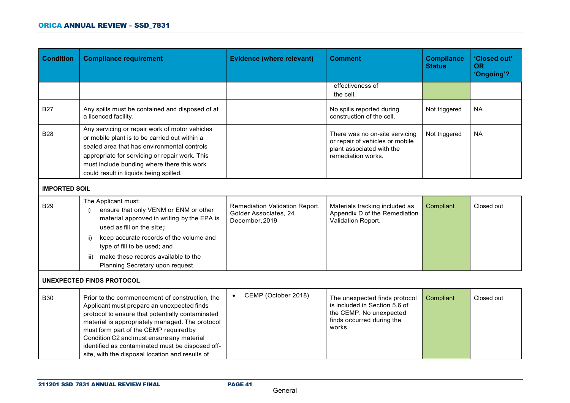| <b>Condition</b>     | <b>Compliance requirement</b>                                                                                                                                                                                                                                                                                                                                                                     | <b>Evidence (where relevant)</b>                                          | <b>Comment</b>                                                                                                                   | <b>Compliance</b><br><b>Status</b> | 'Closed out'<br><b>OR</b><br>'Ongoing'? |
|----------------------|---------------------------------------------------------------------------------------------------------------------------------------------------------------------------------------------------------------------------------------------------------------------------------------------------------------------------------------------------------------------------------------------------|---------------------------------------------------------------------------|----------------------------------------------------------------------------------------------------------------------------------|------------------------------------|-----------------------------------------|
|                      |                                                                                                                                                                                                                                                                                                                                                                                                   |                                                                           | effectiveness of<br>the cell.                                                                                                    |                                    |                                         |
| <b>B27</b>           | Any spills must be contained and disposed of at<br>a licenced facility.                                                                                                                                                                                                                                                                                                                           |                                                                           | No spills reported during<br>construction of the cell.                                                                           | Not triggered                      | <b>NA</b>                               |
| <b>B28</b>           | Any servicing or repair work of motor vehicles<br>or mobile plant is to be carried out within a<br>sealed area that has environmental controls<br>appropriate for servicing or repair work. This<br>must include bunding where there this work<br>could result in liquids being spilled.                                                                                                          |                                                                           | There was no on-site servicing<br>or repair of vehicles or mobile<br>plant associated with the<br>remediation works.             | Not triggered                      | <b>NA</b>                               |
| <b>IMPORTED SOIL</b> |                                                                                                                                                                                                                                                                                                                                                                                                   |                                                                           |                                                                                                                                  |                                    |                                         |
| <b>B29</b>           | The Applicant must:<br>ensure that only VENM or ENM or other<br>i)<br>material approved in writing by the EPA is<br>used as fill on the site;                                                                                                                                                                                                                                                     | Remediation Validation Report,<br>Golder Associates, 24<br>December, 2019 | Materials tracking included as<br>Appendix D of the Remediation<br>Validation Report.                                            | Compliant                          | Closed out                              |
|                      | keep accurate records of the volume and<br>ii)<br>type of fill to be used; and<br>make these records available to the                                                                                                                                                                                                                                                                             |                                                                           |                                                                                                                                  |                                    |                                         |
|                      | iii)<br>Planning Secretary upon request.                                                                                                                                                                                                                                                                                                                                                          |                                                                           |                                                                                                                                  |                                    |                                         |
|                      | UNEXPECTED FINDS PROTOCOL                                                                                                                                                                                                                                                                                                                                                                         |                                                                           |                                                                                                                                  |                                    |                                         |
| <b>B30</b>           | Prior to the commencement of construction, the<br>Applicant must prepare an unexpected finds<br>protocol to ensure that potentially contaminated<br>material is appropriately managed. The protocol<br>must form part of the CEMP required by<br>Condition C2 and must ensure any material<br>identified as contaminated must be disposed off-<br>site, with the disposal location and results of | CEMP (October 2018)<br>$\bullet$                                          | The unexpected finds protocol<br>is included in Section 5.6 of<br>the CEMP. No unexpected<br>finds occurred during the<br>works. | Compliant                          | Closed out                              |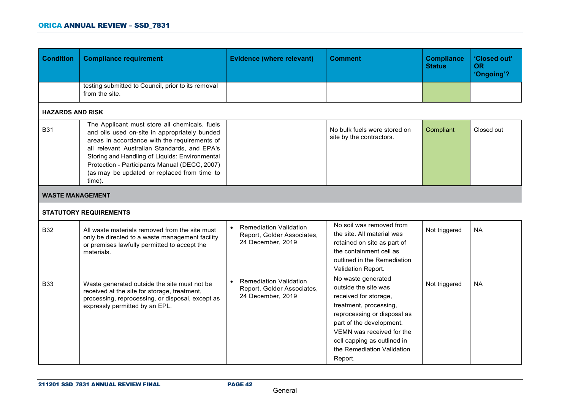| <b>Condition</b>        | <b>Compliance requirement</b>                                                                                                                                                                                                                                                                                                                              | <b>Evidence (where relevant)</b>                                                              | <b>Comment</b>                                                                                                                                                                                                                                                | <b>Compliance</b><br><b>Status</b> | 'Closed out'<br><b>OR</b><br>'Ongoing'? |
|-------------------------|------------------------------------------------------------------------------------------------------------------------------------------------------------------------------------------------------------------------------------------------------------------------------------------------------------------------------------------------------------|-----------------------------------------------------------------------------------------------|---------------------------------------------------------------------------------------------------------------------------------------------------------------------------------------------------------------------------------------------------------------|------------------------------------|-----------------------------------------|
|                         | testing submitted to Council, prior to its removal<br>from the site.                                                                                                                                                                                                                                                                                       |                                                                                               |                                                                                                                                                                                                                                                               |                                    |                                         |
| <b>HAZARDS AND RISK</b> |                                                                                                                                                                                                                                                                                                                                                            |                                                                                               |                                                                                                                                                                                                                                                               |                                    |                                         |
| <b>B31</b>              | The Applicant must store all chemicals, fuels<br>and oils used on-site in appropriately bunded<br>areas in accordance with the requirements of<br>all relevant Australian Standards, and EPA's<br>Storing and Handling of Liquids: Environmental<br>Protection - Participants Manual (DECC, 2007)<br>(as may be updated or replaced from time to<br>time). |                                                                                               | No bulk fuels were stored on<br>site by the contractors.                                                                                                                                                                                                      | Compliant                          | Closed out                              |
| <b>WASTE MANAGEMENT</b> |                                                                                                                                                                                                                                                                                                                                                            |                                                                                               |                                                                                                                                                                                                                                                               |                                    |                                         |
|                         | <b>STATUTORY REQUIREMENTS</b>                                                                                                                                                                                                                                                                                                                              |                                                                                               |                                                                                                                                                                                                                                                               |                                    |                                         |
| <b>B32</b>              | All waste materials removed from the site must<br>only be directed to a waste management facility<br>or premises lawfully permitted to accept the<br>materials.                                                                                                                                                                                            | <b>Remediation Validation</b><br>$\bullet$<br>Report, Golder Associates,<br>24 December, 2019 | No soil was removed from<br>the site. All material was<br>retained on site as part of<br>the containment cell as<br>outlined in the Remediation<br>Validation Report.                                                                                         | Not triggered                      | <b>NA</b>                               |
| <b>B33</b>              | Waste generated outside the site must not be<br>received at the site for storage, treatment,<br>processing, reprocessing, or disposal, except as<br>expressly permitted by an EPL.                                                                                                                                                                         | <b>Remediation Validation</b><br>Report, Golder Associates,<br>24 December, 2019              | No waste generated<br>outside the site was<br>received for storage,<br>treatment, processing,<br>reprocessing or disposal as<br>part of the development.<br>VEMN was received for the<br>cell capping as outlined in<br>the Remediation Validation<br>Report. | Not triggered                      | <b>NA</b>                               |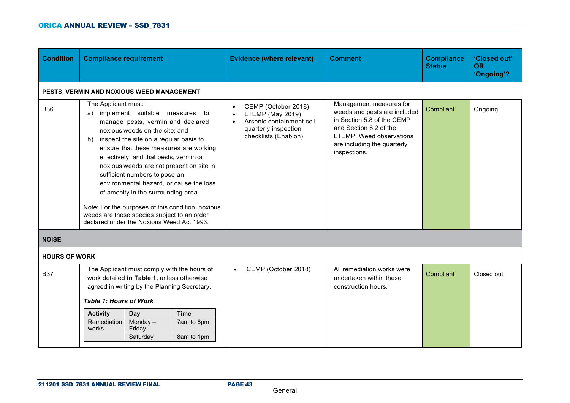| <b>Condition</b>     | <b>Compliance requirement</b>                                                                                                                                                                                                                                                                                                                                                                                                                                                                                                                                                          |                                                                                                                                                                                      |                                         |                                                                                                                     | <b>Evidence (where relevant)</b>                                                                                                                                                           | <b>Comment</b>                                                               | <b>Compliance</b><br><b>Status</b> | 'Closed out'<br><b>OR</b><br>'Ongoing'? |
|----------------------|----------------------------------------------------------------------------------------------------------------------------------------------------------------------------------------------------------------------------------------------------------------------------------------------------------------------------------------------------------------------------------------------------------------------------------------------------------------------------------------------------------------------------------------------------------------------------------------|--------------------------------------------------------------------------------------------------------------------------------------------------------------------------------------|-----------------------------------------|---------------------------------------------------------------------------------------------------------------------|--------------------------------------------------------------------------------------------------------------------------------------------------------------------------------------------|------------------------------------------------------------------------------|------------------------------------|-----------------------------------------|
|                      |                                                                                                                                                                                                                                                                                                                                                                                                                                                                                                                                                                                        | PESTS, VERMIN AND NOXIOUS WEED MANAGEMENT                                                                                                                                            |                                         |                                                                                                                     |                                                                                                                                                                                            |                                                                              |                                    |                                         |
| <b>B36</b>           | The Applicant must:<br>implement suitable measures to<br>a)<br>manage pests, vermin and declared<br>noxious weeds on the site; and<br>inspect the site on a regular basis to<br>b)<br>ensure that these measures are working<br>effectively, and that pests, vermin or<br>noxious weeds are not present on site in<br>sufficient numbers to pose an<br>environmental hazard, or cause the loss<br>of amenity in the surrounding area.<br>Note: For the purposes of this condition, noxious<br>weeds are those species subject to an order<br>declared under the Noxious Weed Act 1993. |                                                                                                                                                                                      | $\bullet$<br>$\bullet$                  | CEMP (October 2018)<br>LTEMP (May 2019)<br>Arsenic containment cell<br>quarterly inspection<br>checklists (Enablon) | Management measures for<br>weeds and pests are included<br>in Section 5.8 of the CEMP<br>and Section 6.2 of the<br>LTEMP. Weed observations<br>are including the quarterly<br>inspections. | Compliant                                                                    | Ongoing                            |                                         |
| <b>NOISE</b>         |                                                                                                                                                                                                                                                                                                                                                                                                                                                                                                                                                                                        |                                                                                                                                                                                      |                                         |                                                                                                                     |                                                                                                                                                                                            |                                                                              |                                    |                                         |
| <b>HOURS OF WORK</b> |                                                                                                                                                                                                                                                                                                                                                                                                                                                                                                                                                                                        |                                                                                                                                                                                      |                                         |                                                                                                                     |                                                                                                                                                                                            |                                                                              |                                    |                                         |
| <b>B37</b>           | <b>Table 1: Hours of Work</b><br><b>Activity</b><br>Remediation<br>works                                                                                                                                                                                                                                                                                                                                                                                                                                                                                                               | The Applicant must comply with the hours of<br>work detailed in Table 1, unless otherwise<br>agreed in writing by the Planning Secretary.<br>Day<br>Monday $-$<br>Friday<br>Saturday | <b>Time</b><br>7am to 6pm<br>8am to 1pm | $\bullet$                                                                                                           | CEMP (October 2018)                                                                                                                                                                        | All remediation works were<br>undertaken within these<br>construction hours. | Compliant                          | Closed out                              |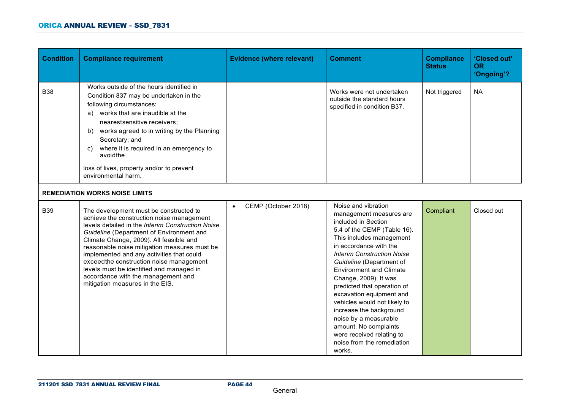| <b>Condition</b> | <b>Compliance requirement</b>                                                                                                                                                                                                                                                                                                                                                                                                                                                                | <b>Evidence (where relevant)</b> | <b>Comment</b>                                                                                                                                                                                                                                                                                                                                                                                                                                                                                                                      | <b>Compliance</b><br><b>Status</b> | 'Closed out'<br><b>OR</b><br>'Ongoing'? |
|------------------|----------------------------------------------------------------------------------------------------------------------------------------------------------------------------------------------------------------------------------------------------------------------------------------------------------------------------------------------------------------------------------------------------------------------------------------------------------------------------------------------|----------------------------------|-------------------------------------------------------------------------------------------------------------------------------------------------------------------------------------------------------------------------------------------------------------------------------------------------------------------------------------------------------------------------------------------------------------------------------------------------------------------------------------------------------------------------------------|------------------------------------|-----------------------------------------|
| <b>B38</b>       | Works outside of the hours identified in<br>Condition 837 may be undertaken in the<br>following circumstances:<br>a) works that are inaudible at the<br>nearestsensitive receivers;<br>works agreed to in writing by the Planning<br>b)<br>Secretary; and<br>where it is required in an emergency to<br>C)<br>avoidthe<br>loss of lives, property and/or to prevent<br>environmental harm.                                                                                                   |                                  | Works were not undertaken<br>outside the standard hours<br>specified in condition B37.                                                                                                                                                                                                                                                                                                                                                                                                                                              | Not triggered                      | <b>NA</b>                               |
|                  | <b>REMEDIATION WORKS NOISE LIMITS</b>                                                                                                                                                                                                                                                                                                                                                                                                                                                        |                                  |                                                                                                                                                                                                                                                                                                                                                                                                                                                                                                                                     |                                    |                                         |
| <b>B39</b>       | The development must be constructed to<br>achieve the construction noise management<br>levels detailed in the Interim Construction Noise<br>Guideline (Department of Environment and<br>Climate Change, 2009). All feasible and<br>reasonable noise mitigation measures must be<br>implemented and any activities that could<br>exceedthe construction noise management<br>levels must be identified and managed in<br>accordance with the management and<br>mitigation measures in the EIS. | CEMP (October 2018)<br>$\bullet$ | Noise and vibration<br>management measures are<br>included in Section<br>5.4 of the CEMP (Table 16).<br>This includes management<br>in accordance with the<br><b>Interim Construction Noise</b><br>Guideline (Department of<br><b>Environment and Climate</b><br>Change, 2009). It was<br>predicted that operation of<br>excavation equipment and<br>vehicles would not likely to<br>increase the background<br>noise by a measurable<br>amount. No complaints<br>were received relating to<br>noise from the remediation<br>works. | Compliant                          | Closed out                              |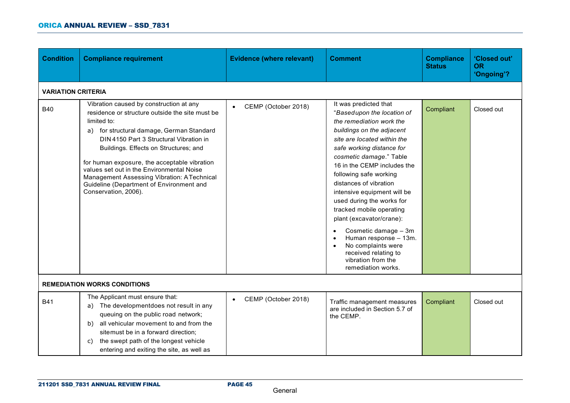| <b>Condition</b> | <b>Compliance requirement</b>                                                                                                                                                                                                                                                                                                                                                                                                                             | <b>Evidence (where relevant)</b> | <b>Comment</b>                                                                                                                                                                                                                                                                                                                                                                                                                                                                                                                                        | <b>Compliance</b><br><b>Status</b> | 'Closed out'<br><b>OR</b><br>'Ongoing'? |  |  |  |  |
|------------------|-----------------------------------------------------------------------------------------------------------------------------------------------------------------------------------------------------------------------------------------------------------------------------------------------------------------------------------------------------------------------------------------------------------------------------------------------------------|----------------------------------|-------------------------------------------------------------------------------------------------------------------------------------------------------------------------------------------------------------------------------------------------------------------------------------------------------------------------------------------------------------------------------------------------------------------------------------------------------------------------------------------------------------------------------------------------------|------------------------------------|-----------------------------------------|--|--|--|--|
|                  | <b>VARIATION CRITERIA</b>                                                                                                                                                                                                                                                                                                                                                                                                                                 |                                  |                                                                                                                                                                                                                                                                                                                                                                                                                                                                                                                                                       |                                    |                                         |  |  |  |  |
| <b>B40</b>       | Vibration caused by construction at any<br>residence or structure outside the site must be<br>limited to:<br>a) for structural damage, German Standard<br>DIN 4150 Part 3 Structural Vibration in<br>Buildings. Effects on Structures; and<br>for human exposure, the acceptable vibration<br>values set out in the Environmental Noise<br>Management Assessing Vibration: ATechnical<br>Guideline (Department of Environment and<br>Conservation, 2006). | CEMP (October 2018)<br>$\bullet$ | It was predicted that<br>"Basedupon the location of<br>the remediation work the<br>buildings on the adjacent<br>site are located within the<br>safe working distance for<br>cosmetic damage." Table<br>16 in the CEMP includes the<br>following safe working<br>distances of vibration<br>intensive equipment will be<br>used during the works for<br>tracked mobile operating<br>plant (excavator/crane):<br>Cosmetic damage - 3m<br>Human response - 13m.<br>No complaints were<br>received relating to<br>vibration from the<br>remediation works. | Compliant                          | Closed out                              |  |  |  |  |
|                  | <b>REMEDIATION WORKS CONDITIONS</b>                                                                                                                                                                                                                                                                                                                                                                                                                       |                                  |                                                                                                                                                                                                                                                                                                                                                                                                                                                                                                                                                       |                                    |                                         |  |  |  |  |
| <b>B41</b>       | The Applicant must ensure that:<br>The developmentdoes not result in any<br>a)<br>queuing on the public road network;<br>all vehicular movement to and from the<br>b)<br>sitemust be in a forward direction;<br>the swept path of the longest vehicle<br>C)<br>entering and exiting the site, as well as                                                                                                                                                  | CEMP (October 2018)<br>$\bullet$ | Traffic management measures<br>are included in Section 5.7 of<br>the CEMP.                                                                                                                                                                                                                                                                                                                                                                                                                                                                            | Compliant                          | Closed out                              |  |  |  |  |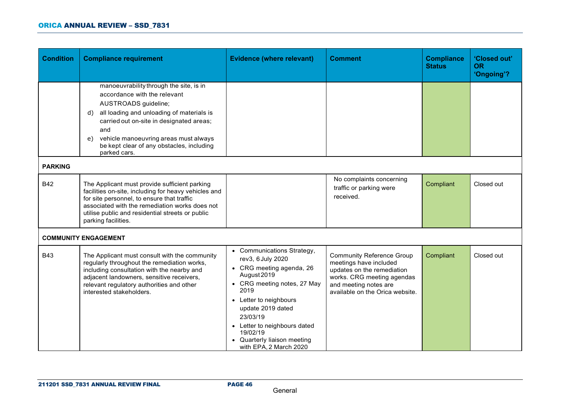| <b>Condition</b> | <b>Compliance requirement</b>                                                                                                                                                                                                                                                                                     | <b>Evidence (where relevant)</b>                                                                                                                                                                                                                                                                  | <b>Comment</b>                                                                                                                                                                     | <b>Compliance</b><br><b>Status</b> | 'Closed out'<br><b>OR</b><br>'Ongoing'? |
|------------------|-------------------------------------------------------------------------------------------------------------------------------------------------------------------------------------------------------------------------------------------------------------------------------------------------------------------|---------------------------------------------------------------------------------------------------------------------------------------------------------------------------------------------------------------------------------------------------------------------------------------------------|------------------------------------------------------------------------------------------------------------------------------------------------------------------------------------|------------------------------------|-----------------------------------------|
|                  | manoeuvrability through the site, is in<br>accordance with the relevant<br>AUSTROADS guideline;<br>all loading and unloading of materials is<br>d)<br>carried out on-site in designated areas;<br>and<br>vehicle manoeuvring areas must always<br>e)<br>be kept clear of any obstacles, including<br>parked cars. |                                                                                                                                                                                                                                                                                                   |                                                                                                                                                                                    |                                    |                                         |
| <b>PARKING</b>   |                                                                                                                                                                                                                                                                                                                   |                                                                                                                                                                                                                                                                                                   |                                                                                                                                                                                    |                                    |                                         |
| <b>B42</b>       | The Applicant must provide sufficient parking<br>facilities on-site, including for heavy vehicles and<br>for site personnel, to ensure that traffic<br>associated with the remediation works does not<br>utilise public and residential streets or public<br>parking facilities.                                  |                                                                                                                                                                                                                                                                                                   | No complaints concerning<br>traffic or parking were<br>received.                                                                                                                   | Compliant                          | Closed out                              |
|                  | <b>COMMUNITY ENGAGEMENT</b>                                                                                                                                                                                                                                                                                       |                                                                                                                                                                                                                                                                                                   |                                                                                                                                                                                    |                                    |                                         |
| <b>B43</b>       | The Applicant must consult with the community<br>regularly throughout the remediation works,<br>including consultation with the nearby and<br>adjacent landowners, sensitive receivers,<br>relevant regulatory authorities and other<br>interested stakeholders.                                                  | • Communications Strategy,<br>rev3, 6 July 2020<br>• CRG meeting agenda, 26<br>August 2019<br>• CRG meeting notes, 27 May<br>2019<br>• Letter to neighbours<br>update 2019 dated<br>23/03/19<br>• Letter to neighbours dated<br>19/02/19<br>• Quarterly liaison meeting<br>with EPA, 2 March 2020 | <b>Community Reference Group</b><br>meetings have included<br>updates on the remediation<br>works. CRG meeting agendas<br>and meeting notes are<br>available on the Orica website. | Compliant                          | Closed out                              |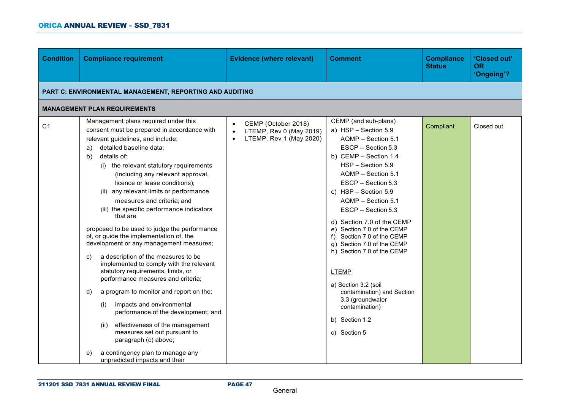| <b>Condition</b>                                         | <b>Compliance requirement</b>                                                                                                                                                                                                                                                                                                                                                                                                                                                                                                                                                                                                                                                                                                                                                                                                                                                                                                                                                                                                                   | <b>Evidence (where relevant)</b>                                          | <b>Comment</b>                                                                                                                                                                                                                                                                                                                                                                                                                                                                                                                                             | <b>Compliance</b><br><b>Status</b> | 'Closed out'<br>OR.<br>'Ongoing'? |  |  |  |
|----------------------------------------------------------|-------------------------------------------------------------------------------------------------------------------------------------------------------------------------------------------------------------------------------------------------------------------------------------------------------------------------------------------------------------------------------------------------------------------------------------------------------------------------------------------------------------------------------------------------------------------------------------------------------------------------------------------------------------------------------------------------------------------------------------------------------------------------------------------------------------------------------------------------------------------------------------------------------------------------------------------------------------------------------------------------------------------------------------------------|---------------------------------------------------------------------------|------------------------------------------------------------------------------------------------------------------------------------------------------------------------------------------------------------------------------------------------------------------------------------------------------------------------------------------------------------------------------------------------------------------------------------------------------------------------------------------------------------------------------------------------------------|------------------------------------|-----------------------------------|--|--|--|
| PART C: ENVIRONMENTAL MANAGEMENT, REPORTING AND AUDITING |                                                                                                                                                                                                                                                                                                                                                                                                                                                                                                                                                                                                                                                                                                                                                                                                                                                                                                                                                                                                                                                 |                                                                           |                                                                                                                                                                                                                                                                                                                                                                                                                                                                                                                                                            |                                    |                                   |  |  |  |
|                                                          | <b>MANAGEMENT PLAN REQUIREMENTS</b>                                                                                                                                                                                                                                                                                                                                                                                                                                                                                                                                                                                                                                                                                                                                                                                                                                                                                                                                                                                                             |                                                                           |                                                                                                                                                                                                                                                                                                                                                                                                                                                                                                                                                            |                                    |                                   |  |  |  |
| C <sub>1</sub>                                           | Management plans required under this<br>consent must be prepared in accordance with<br>relevant guidelines, and include:<br>a) detailed baseline data;<br>b) details of:<br>(i) the relevant statutory requirements<br>(including any relevant approval,<br>licence or lease conditions);<br>(ii) any relevant limits or performance<br>measures and criteria; and<br>(iii) the specific performance indicators<br>that are<br>proposed to be used to judge the performance<br>of, or guide the implementation of, the<br>development or any management measures;<br>a description of the measures to be<br>C)<br>implemented to comply with the relevant<br>statutory requirements, limits, or<br>performance measures and criteria;<br>a program to monitor and report on the:<br>d)<br>impacts and environmental<br>(i)<br>performance of the development; and<br>effectiveness of the management<br>(ii)<br>measures set out pursuant to<br>paragraph (c) above;<br>a contingency plan to manage any<br>e)<br>unpredicted impacts and their | CEMP (October 2018)<br>LTEMP, Rev 0 (May 2019)<br>LTEMP, Rev 1 (May 2020) | CEMP (and sub-plans)<br>a) HSP - Section 5.9<br>AQMP - Section 5.1<br>ESCP - Section 5.3<br>b) CEMP - Section 1.4<br>HSP - Section 5.9<br>AQMP - Section 5.1<br>ESCP - Section 5.3<br>c) HSP - Section 5.9<br>AQMP - Section 5.1<br>ESCP - Section 5.3<br>d) Section 7.0 of the CEMP<br>e) Section 7.0 of the CEMP<br>f) Section 7.0 of the CEMP<br>g) Section 7.0 of the CEMP<br>h) Section 7.0 of the CEMP<br><b>LTEMP</b><br>a) Section 3.2 (soil<br>contamination) and Section<br>3.3 (groundwater<br>contamination)<br>b) Section 1.2<br>c) Section 5 | Compliant                          | Closed out                        |  |  |  |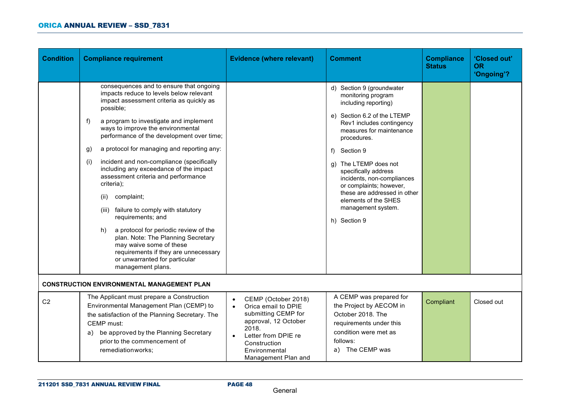| <b>Condition</b> | <b>Compliance requirement</b>                                                                                                                                                                                                                                                                                                                                                                                                                                                                                                                                                                                                                                                                                                                                                              | <b>Evidence (where relevant)</b>                                                                                                                                                                            | <b>Comment</b>                                                                                                                                                                                                                                                                                                                                                                                         | <b>Compliance</b><br><b>Status</b> | 'Closed out'<br>OR.<br>'Ongoing'? |
|------------------|--------------------------------------------------------------------------------------------------------------------------------------------------------------------------------------------------------------------------------------------------------------------------------------------------------------------------------------------------------------------------------------------------------------------------------------------------------------------------------------------------------------------------------------------------------------------------------------------------------------------------------------------------------------------------------------------------------------------------------------------------------------------------------------------|-------------------------------------------------------------------------------------------------------------------------------------------------------------------------------------------------------------|--------------------------------------------------------------------------------------------------------------------------------------------------------------------------------------------------------------------------------------------------------------------------------------------------------------------------------------------------------------------------------------------------------|------------------------------------|-----------------------------------|
|                  | consequences and to ensure that ongoing<br>impacts reduce to levels below relevant<br>impact assessment criteria as quickly as<br>possible;<br>f)<br>a program to investigate and implement<br>ways to improve the environmental<br>performance of the development over time;<br>a protocol for managing and reporting any:<br>g)<br>incident and non-compliance (specifically<br>(i)<br>including any exceedance of the impact<br>assessment criteria and performance<br>criteria);<br>complaint;<br>(ii)<br>failure to comply with statutory<br>(iii)<br>requirements; and<br>a protocol for periodic review of the<br>h)<br>plan. Note: The Planning Secretary<br>may waive some of these<br>requirements if they are unnecessary<br>or unwarranted for particular<br>management plans. |                                                                                                                                                                                                             | d) Section 9 (groundwater<br>monitoring program<br>including reporting)<br>e) Section 6.2 of the LTEMP<br>Rev1 includes contingency<br>measures for maintenance<br>procedures.<br>f) Section 9<br>g) The LTEMP does not<br>specifically address<br>incidents, non-compliances<br>or complaints; however,<br>these are addressed in other<br>elements of the SHES<br>management system.<br>h) Section 9 |                                    |                                   |
|                  | <b>CONSTRUCTION ENVIRONMENTAL MANAGEMENT PLAN</b>                                                                                                                                                                                                                                                                                                                                                                                                                                                                                                                                                                                                                                                                                                                                          |                                                                                                                                                                                                             |                                                                                                                                                                                                                                                                                                                                                                                                        |                                    |                                   |
| C <sub>2</sub>   | The Applicant must prepare a Construction<br>Environmental Management Plan (CEMP) to<br>the satisfaction of the Planning Secretary. The<br><b>CEMP</b> must:<br>a) be approved by the Planning Secretary<br>prior to the commencement of<br>remediationworks;                                                                                                                                                                                                                                                                                                                                                                                                                                                                                                                              | CEMP (October 2018)<br>Orica email to DPIE<br>$\bullet$<br>submitting CEMP for<br>approval, 12 October<br>2018.<br>Letter from DPIE re<br>$\bullet$<br>Construction<br>Environmental<br>Management Plan and | A CEMP was prepared for<br>the Project by AECOM in<br>October 2018. The<br>requirements under this<br>condition were met as<br>follows:<br>a) The CEMP was                                                                                                                                                                                                                                             | Compliant                          | Closed out                        |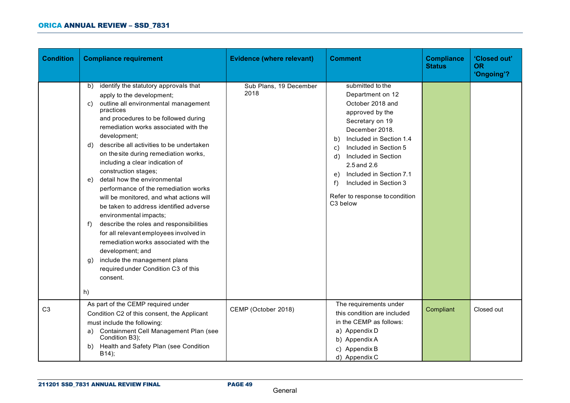| <b>Condition</b> | <b>Compliance requirement</b>                                                                                                                                                                                                                                                                                                                                                                                                                                                                                                                                                                                                                                                                                                                                                                                                                   | <b>Evidence (where relevant)</b> | <b>Comment</b>                                                                                                                                                                                                                                                                                                                             | <b>Compliance</b><br><b>Status</b> | 'Closed out'<br><b>OR</b><br>'Ongoing'? |
|------------------|-------------------------------------------------------------------------------------------------------------------------------------------------------------------------------------------------------------------------------------------------------------------------------------------------------------------------------------------------------------------------------------------------------------------------------------------------------------------------------------------------------------------------------------------------------------------------------------------------------------------------------------------------------------------------------------------------------------------------------------------------------------------------------------------------------------------------------------------------|----------------------------------|--------------------------------------------------------------------------------------------------------------------------------------------------------------------------------------------------------------------------------------------------------------------------------------------------------------------------------------------|------------------------------------|-----------------------------------------|
|                  | identify the statutory approvals that<br>b)<br>apply to the development;<br>outline all environmental management<br>C)<br>practices<br>and procedures to be followed during<br>remediation works associated with the<br>development;<br>describe all activities to be undertaken<br>d)<br>on the site during remediation works,<br>including a clear indication of<br>construction stages;<br>detail how the environmental<br>e)<br>performance of the remediation works<br>will be monitored, and what actions will<br>be taken to address identified adverse<br>environmental impacts;<br>describe the roles and responsibilities<br>f)<br>for all relevant employees involved in<br>remediation works associated with the<br>development; and<br>include the management plans<br>q)<br>required under Condition C3 of this<br>consent.<br>h) | Sub Plans, 19 December<br>2018   | submitted to the<br>Department on 12<br>October 2018 and<br>approved by the<br>Secretary on 19<br>December 2018.<br>Included in Section 1.4<br>b)<br>Included in Section 5<br>C)<br>Included in Section<br>d)<br>2.5 and 2.6<br>Included in Section 7.1<br>e)<br>Included in Section 3<br>f)<br>Refer to response to condition<br>C3 below |                                    |                                         |
| C <sub>3</sub>   | As part of the CEMP required under<br>Condition C2 of this consent, the Applicant<br>must include the following:<br>a) Containment Cell Management Plan (see<br>Condition B3);<br>Health and Safety Plan (see Condition<br>b)<br>B14);                                                                                                                                                                                                                                                                                                                                                                                                                                                                                                                                                                                                          | CEMP (October 2018)              | The requirements under<br>this condition are included<br>in the CEMP as follows:<br>a) Appendix D<br>b) Appendix A<br>c) Appendix B<br>d) Appendix C                                                                                                                                                                                       | Compliant                          | Closed out                              |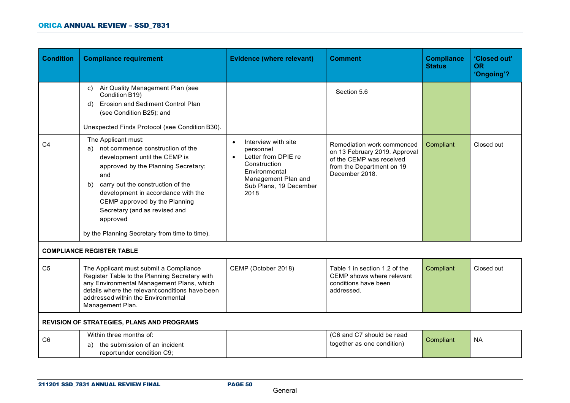| <b>Condition</b> | <b>Compliance requirement</b>                                                                                                                                                                                                                                                                                                                                | <b>Evidence (where relevant)</b>                                                                                                                                            | <b>Comment</b>                                                                                                                         | <b>Compliance</b><br><b>Status</b> | 'Closed out'<br><b>OR</b><br>'Ongoing'? |
|------------------|--------------------------------------------------------------------------------------------------------------------------------------------------------------------------------------------------------------------------------------------------------------------------------------------------------------------------------------------------------------|-----------------------------------------------------------------------------------------------------------------------------------------------------------------------------|----------------------------------------------------------------------------------------------------------------------------------------|------------------------------------|-----------------------------------------|
|                  | Air Quality Management Plan (see<br>C)<br>Condition B19)<br><b>Erosion and Sediment Control Plan</b><br>d)<br>(see Condition B25); and<br>Unexpected Finds Protocol (see Condition B30).                                                                                                                                                                     |                                                                                                                                                                             | Section 5.6                                                                                                                            |                                    |                                         |
| C <sub>4</sub>   | The Applicant must:<br>not commence construction of the<br>a)<br>development until the CEMP is<br>approved by the Planning Secretary;<br>and<br>carry out the construction of the<br>b)<br>development in accordance with the<br>CEMP approved by the Planning<br>Secretary (and as revised and<br>approved<br>by the Planning Secretary from time to time). | Interview with site<br>$\bullet$<br>personnel<br>Letter from DPIE re<br>$\bullet$<br>Construction<br>Environmental<br>Management Plan and<br>Sub Plans, 19 December<br>2018 | Remediation work commenced<br>on 13 February 2019. Approval<br>of the CEMP was received<br>from the Department on 19<br>December 2018. | Compliant                          | Closed out                              |
|                  | <b>COMPLIANCE REGISTER TABLE</b>                                                                                                                                                                                                                                                                                                                             |                                                                                                                                                                             |                                                                                                                                        |                                    |                                         |
| C <sub>5</sub>   | The Applicant must submit a Compliance<br>Register Table to the Planning Secretary with<br>any Environmental Management Plans, which<br>details where the relevant conditions have been<br>addressed within the Environmental<br>Management Plan.                                                                                                            | CEMP (October 2018)                                                                                                                                                         | Table 1 in section 1.2 of the<br>CEMP shows where relevant<br>conditions have been<br>addressed.                                       | Compliant                          | Closed out                              |
|                  | REVISION OF STRATEGIES, PLANS AND PROGRAMS                                                                                                                                                                                                                                                                                                                   |                                                                                                                                                                             |                                                                                                                                        |                                    |                                         |
| C <sub>6</sub>   | Within three months of:<br>the submission of an incident<br>a)<br>report under condition C9;                                                                                                                                                                                                                                                                 |                                                                                                                                                                             | (C6 and C7 should be read<br>together as one condition)                                                                                | Compliant                          | <b>NA</b>                               |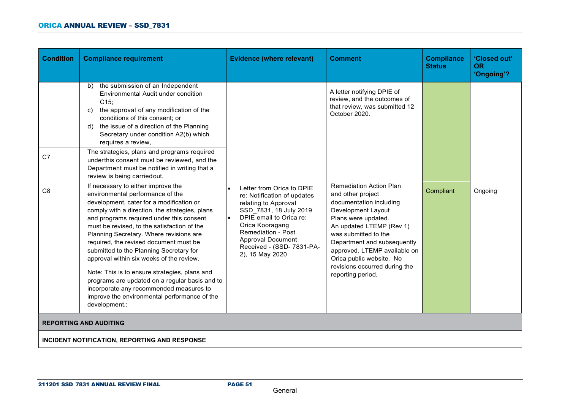| <b>Condition</b> | <b>Compliance requirement</b>                                                                                                                                                                                                                                                                                                                                                                                                                                                                                                                                                                                                                              | <b>Evidence (where relevant)</b>                                                                                                                                                                                                                                  | <b>Comment</b>                                                                                                                                                                                                                                                                                                                   | <b>Compliance</b><br><b>Status</b> | 'Closed out'<br><b>OR</b><br>'Ongoing'? |
|------------------|------------------------------------------------------------------------------------------------------------------------------------------------------------------------------------------------------------------------------------------------------------------------------------------------------------------------------------------------------------------------------------------------------------------------------------------------------------------------------------------------------------------------------------------------------------------------------------------------------------------------------------------------------------|-------------------------------------------------------------------------------------------------------------------------------------------------------------------------------------------------------------------------------------------------------------------|----------------------------------------------------------------------------------------------------------------------------------------------------------------------------------------------------------------------------------------------------------------------------------------------------------------------------------|------------------------------------|-----------------------------------------|
| C7               | the submission of an Independent<br>b)<br>Environmental Audit under condition<br>C15<br>the approval of any modification of the<br>C)<br>conditions of this consent; or<br>the issue of a direction of the Planning<br>d)<br>Secretary under condition A2(b) which<br>requires a review,<br>The strategies, plans and programs required<br>underthis consent must be reviewed, and the<br>Department must be notified in writing that a<br>review is being carriedout.                                                                                                                                                                                     |                                                                                                                                                                                                                                                                   | A letter notifying DPIE of<br>review, and the outcomes of<br>that review, was submitted 12<br>October 2020.                                                                                                                                                                                                                      |                                    |                                         |
| C <sub>8</sub>   | If necessary to either improve the<br>environmental performance of the<br>development, cater for a modification or<br>comply with a direction, the strategies, plans<br>and programs required under this consent<br>must be revised, to the satisfaction of the<br>Planning Secretary. Where revisions are<br>required, the revised document must be<br>submitted to the Planning Secretary for<br>approval within six weeks of the review.<br>Note: This is to ensure strategies, plans and<br>programs are updated on a regular basis and to<br>incorporate any recommended measures to<br>improve the environmental performance of the<br>development.: | Letter from Orica to DPIE<br>re: Notification of updates<br>relating to Approval<br>SSD 7831, 18 July 2019<br>DPIE email to Orica re:<br>Orica Kooragang<br><b>Remediation - Post</b><br><b>Approval Document</b><br>Received - (SSD- 7831-PA-<br>2), 15 May 2020 | <b>Remediation Action Plan</b><br>and other project<br>documentation including<br>Development Layout<br>Plans were updated.<br>An updated LTEMP (Rev 1)<br>was submitted to the<br>Department and subsequently<br>approved. LTEMP available on<br>Orica public website. No<br>revisions occurred during the<br>reporting period. | Compliant                          | Ongoing                                 |
|                  | <b>REPORTING AND AUDITING</b>                                                                                                                                                                                                                                                                                                                                                                                                                                                                                                                                                                                                                              |                                                                                                                                                                                                                                                                   |                                                                                                                                                                                                                                                                                                                                  |                                    |                                         |
|                  | INCIDENT NOTIFICATION, REPORTING AND RESPONSE                                                                                                                                                                                                                                                                                                                                                                                                                                                                                                                                                                                                              |                                                                                                                                                                                                                                                                   |                                                                                                                                                                                                                                                                                                                                  |                                    |                                         |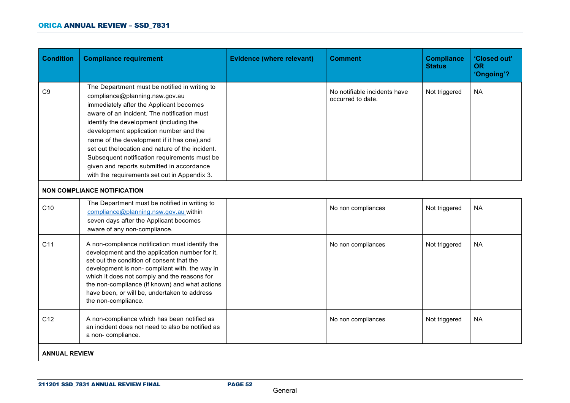| <b>Condition</b>     | <b>Compliance requirement</b>                                                                                                                                                                                                                                                                                                                                                                                                                                                                                  | <b>Evidence (where relevant)</b> | <b>Comment</b>                                    | <b>Compliance</b><br><b>Status</b> | 'Closed out'<br><b>OR</b><br>'Ongoing'? |
|----------------------|----------------------------------------------------------------------------------------------------------------------------------------------------------------------------------------------------------------------------------------------------------------------------------------------------------------------------------------------------------------------------------------------------------------------------------------------------------------------------------------------------------------|----------------------------------|---------------------------------------------------|------------------------------------|-----------------------------------------|
| C <sub>9</sub>       | The Department must be notified in writing to<br>compliance@planning.nsw.gov.au<br>immediately after the Applicant becomes<br>aware of an incident. The notification must<br>identify the development (including the<br>development application number and the<br>name of the development if it has one), and<br>set out the location and nature of the incident.<br>Subsequent notification requirements must be<br>given and reports submitted in accordance<br>with the requirements set out in Appendix 3. |                                  | No notifiable incidents have<br>occurred to date. | Not triggered                      | <b>NA</b>                               |
|                      | <b>NON COMPLIANCE NOTIFICATION</b>                                                                                                                                                                                                                                                                                                                                                                                                                                                                             |                                  |                                                   |                                    |                                         |
| C10                  | The Department must be notified in writing to<br>compliance@planning.nsw.gov.au within<br>seven days after the Applicant becomes<br>aware of any non-compliance.                                                                                                                                                                                                                                                                                                                                               |                                  | No non compliances                                | Not triggered                      | <b>NA</b>                               |
| C <sub>11</sub>      | A non-compliance notification must identify the<br>development and the application number for it,<br>set out the condition of consent that the<br>development is non- compliant with, the way in<br>which it does not comply and the reasons for<br>the non-compliance (if known) and what actions<br>have been, or will be, undertaken to address<br>the non-compliance.                                                                                                                                      |                                  | No non compliances                                | Not triggered                      | <b>NA</b>                               |
| C <sub>12</sub>      | A non-compliance which has been notified as<br>an incident does not need to also be notified as<br>a non- compliance.                                                                                                                                                                                                                                                                                                                                                                                          |                                  | No non compliances                                | Not triggered                      | <b>NA</b>                               |
| <b>ANNUAL REVIEW</b> |                                                                                                                                                                                                                                                                                                                                                                                                                                                                                                                |                                  |                                                   |                                    |                                         |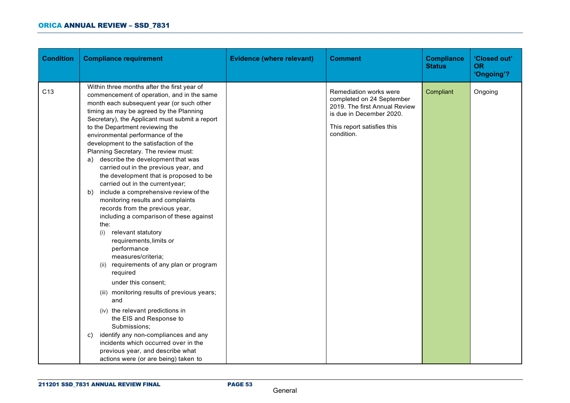| <b>Condition</b> | <b>Compliance requirement</b>                                                                                                                                                                                                                                                                                                                                                                                                                                                                                                                                                                                                                                                                                                                                                                                                                                                                                                                                                                                                                                                                                                                                                                                              | <b>Evidence (where relevant)</b> | <b>Comment</b>                                                                                                                                               | <b>Compliance</b><br><b>Status</b> | 'Closed out'<br><b>OR</b><br>'Ongoing'? |
|------------------|----------------------------------------------------------------------------------------------------------------------------------------------------------------------------------------------------------------------------------------------------------------------------------------------------------------------------------------------------------------------------------------------------------------------------------------------------------------------------------------------------------------------------------------------------------------------------------------------------------------------------------------------------------------------------------------------------------------------------------------------------------------------------------------------------------------------------------------------------------------------------------------------------------------------------------------------------------------------------------------------------------------------------------------------------------------------------------------------------------------------------------------------------------------------------------------------------------------------------|----------------------------------|--------------------------------------------------------------------------------------------------------------------------------------------------------------|------------------------------------|-----------------------------------------|
| C <sub>13</sub>  | Within three months after the first year of<br>commencement of operation, and in the same<br>month each subsequent year (or such other<br>timing as may be agreed by the Planning<br>Secretary), the Applicant must submit a report<br>to the Department reviewing the<br>environmental performance of the<br>development to the satisfaction of the<br>Planning Secretary. The review must:<br>a) describe the development that was<br>carried out in the previous year, and<br>the development that is proposed to be<br>carried out in the currentyear;<br>include a comprehensive review of the<br>b)<br>monitoring results and complaints<br>records from the previous year,<br>including a comparison of these against<br>the:<br>relevant statutory<br>(i)<br>requirements, limits or<br>performance<br>measures/criteria;<br>requirements of any plan or program<br>(ii)<br>required<br>under this consent;<br>(iii) monitoring results of previous years;<br>and<br>(iv) the relevant predictions in<br>the EIS and Response to<br>Submissions;<br>identify any non-compliances and any<br>C)<br>incidents which occurred over in the<br>previous year, and describe what<br>actions were (or are being) taken to |                                  | Remediation works were<br>completed on 24 September<br>2019. The first Annual Review<br>is due in December 2020.<br>This report satisfies this<br>condition. | Compliant                          | Ongoing                                 |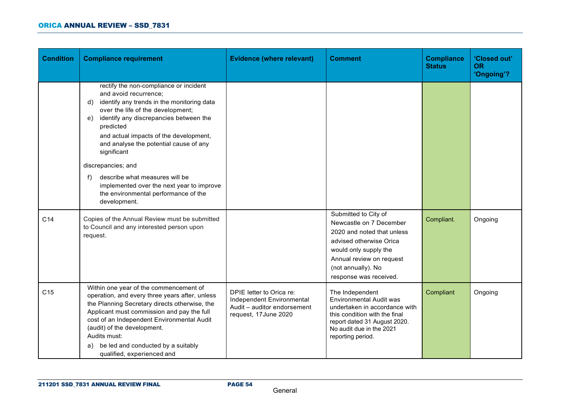| <b>Condition</b> | <b>Compliance requirement</b>                                                                                                                                                                                                                                                                                                                                                                                                                                                               | <b>Evidence (where relevant)</b>                                                                             | <b>Comment</b>                                                                                                                                                                                                | <b>Compliance</b><br><b>Status</b> | 'Closed out'<br><b>OR</b><br>'Ongoing'? |
|------------------|---------------------------------------------------------------------------------------------------------------------------------------------------------------------------------------------------------------------------------------------------------------------------------------------------------------------------------------------------------------------------------------------------------------------------------------------------------------------------------------------|--------------------------------------------------------------------------------------------------------------|---------------------------------------------------------------------------------------------------------------------------------------------------------------------------------------------------------------|------------------------------------|-----------------------------------------|
|                  | rectify the non-compliance or incident<br>and avoid recurrence;<br>identify any trends in the monitoring data<br>d)<br>over the life of the development;<br>identify any discrepancies between the<br>e)<br>predicted<br>and actual impacts of the development,<br>and analyse the potential cause of any<br>significant<br>discrepancies; and<br>describe what measures will be<br>f)<br>implemented over the next year to improve<br>the environmental performance of the<br>development. |                                                                                                              |                                                                                                                                                                                                               |                                    |                                         |
| C <sub>14</sub>  | Copies of the Annual Review must be submitted<br>to Council and any interested person upon<br>request.                                                                                                                                                                                                                                                                                                                                                                                      |                                                                                                              | Submitted to City of<br>Newcastle on 7 December<br>2020 and noted that unless<br>advised otherwise Orica<br>would only supply the<br>Annual review on request<br>(not annually). No<br>response was received. | Compliant.                         | Ongoing                                 |
| C <sub>15</sub>  | Within one year of the commencement of<br>operation, and every three years after, unless<br>the Planning Secretary directs otherwise, the<br>Applicant must commission and pay the full<br>cost of an Independent Environmental Audit<br>(audit) of the development.<br>Audits must:<br>be led and conducted by a suitably<br>a)<br>qualified, experienced and                                                                                                                              | DPIE letter to Orica re:<br>Independent Environmental<br>Audit - auditor endorsement<br>request, 17June 2020 | The Independent<br><b>Environmental Audit was</b><br>undertaken in accordance with<br>this condition with the final<br>report dated 31 August 2020.<br>No audit due in the 2021<br>reporting period.          | Compliant                          | Ongoing                                 |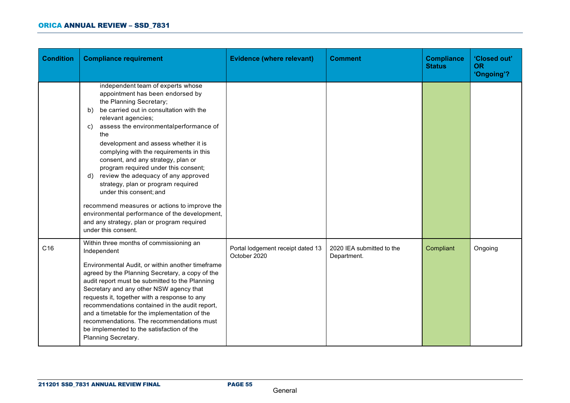| <b>Condition</b> | <b>Compliance requirement</b>                                                                                                                                                                                                                                                                                                                                                                                                                                                                                                                                                                                                                                                       | <b>Evidence (where relevant)</b>                  | <b>Comment</b>                           | <b>Compliance</b><br><b>Status</b> | 'Closed out'<br><b>OR</b><br>'Ongoing'? |
|------------------|-------------------------------------------------------------------------------------------------------------------------------------------------------------------------------------------------------------------------------------------------------------------------------------------------------------------------------------------------------------------------------------------------------------------------------------------------------------------------------------------------------------------------------------------------------------------------------------------------------------------------------------------------------------------------------------|---------------------------------------------------|------------------------------------------|------------------------------------|-----------------------------------------|
|                  | independent team of experts whose<br>appointment has been endorsed by<br>the Planning Secretary;<br>be carried out in consultation with the<br>b)<br>relevant agencies;<br>assess the environmentalperformance of<br>c)<br>the<br>development and assess whether it is<br>complying with the requirements in this<br>consent, and any strategy, plan or<br>program required under this consent;<br>review the adequacy of any approved<br>d)<br>strategy, plan or program required<br>under this consent; and<br>recommend measures or actions to improve the<br>environmental performance of the development,<br>and any strategy, plan or program required<br>under this consent. |                                                   |                                          |                                    |                                         |
| C <sub>16</sub>  | Within three months of commissioning an<br>Independent<br>Environmental Audit, or within another timeframe<br>agreed by the Planning Secretary, a copy of the<br>audit report must be submitted to the Planning<br>Secretary and any other NSW agency that<br>requests it, together with a response to any<br>recommendations contained in the audit report,<br>and a timetable for the implementation of the<br>recommendations. The recommendations must<br>be implemented to the satisfaction of the<br>Planning Secretary.                                                                                                                                                      | Portal lodgement receipt dated 13<br>October 2020 | 2020 IEA submitted to the<br>Department. | Compliant                          | Ongoing                                 |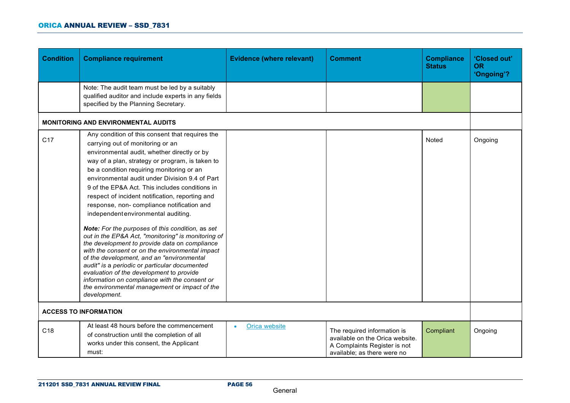| <b>Condition</b> | <b>Compliance requirement</b>                                                                                                                                                                                                                                                                                                                                                                                                                                                                                                                                                                                                                                                                                                                                                                                                                                                                                                                            | <b>Evidence (where relevant)</b> | <b>Comment</b>                                                                                                                | <b>Compliance</b><br><b>Status</b> | 'Closed out'<br><b>OR</b><br>'Ongoing'? |
|------------------|----------------------------------------------------------------------------------------------------------------------------------------------------------------------------------------------------------------------------------------------------------------------------------------------------------------------------------------------------------------------------------------------------------------------------------------------------------------------------------------------------------------------------------------------------------------------------------------------------------------------------------------------------------------------------------------------------------------------------------------------------------------------------------------------------------------------------------------------------------------------------------------------------------------------------------------------------------|----------------------------------|-------------------------------------------------------------------------------------------------------------------------------|------------------------------------|-----------------------------------------|
|                  | Note: The audit team must be led by a suitably<br>qualified auditor and include experts in any fields<br>specified by the Planning Secretary.                                                                                                                                                                                                                                                                                                                                                                                                                                                                                                                                                                                                                                                                                                                                                                                                            |                                  |                                                                                                                               |                                    |                                         |
|                  | <b>MONITORING AND ENVIRONMENTAL AUDITS</b>                                                                                                                                                                                                                                                                                                                                                                                                                                                                                                                                                                                                                                                                                                                                                                                                                                                                                                               |                                  |                                                                                                                               |                                    |                                         |
| C <sub>17</sub>  | Any condition of this consent that requires the<br>carrying out of monitoring or an<br>environmental audit, whether directly or by<br>way of a plan, strategy or program, is taken to<br>be a condition requiring monitoring or an<br>environmental audit under Division 9.4 of Part<br>9 of the EP&A Act. This includes conditions in<br>respect of incident notification, reporting and<br>response, non- compliance notification and<br>independent environmental auditing.<br>Note: For the purposes of this condition, as set<br>out in the EP&A Act, "monitoring" is monitoring of<br>the development to provide data on compliance<br>with the consent or on the environmental impact<br>of the development, and an "environmental<br>audit" is a periodic or particular documented<br>evaluation of the development to provide<br>information on compliance with the consent or<br>the environmental management or impact of the<br>development. |                                  |                                                                                                                               | Noted                              | Ongoing                                 |
|                  | <b>ACCESS TO INFORMATION</b>                                                                                                                                                                                                                                                                                                                                                                                                                                                                                                                                                                                                                                                                                                                                                                                                                                                                                                                             |                                  |                                                                                                                               |                                    |                                         |
| C <sub>18</sub>  | At least 48 hours before the commencement<br>of construction until the completion of all<br>works under this consent, the Applicant<br>must:                                                                                                                                                                                                                                                                                                                                                                                                                                                                                                                                                                                                                                                                                                                                                                                                             | Orica website<br>$\bullet$       | The required information is<br>available on the Orica website.<br>A Complaints Register is not<br>available; as there were no | Compliant                          | Ongoing                                 |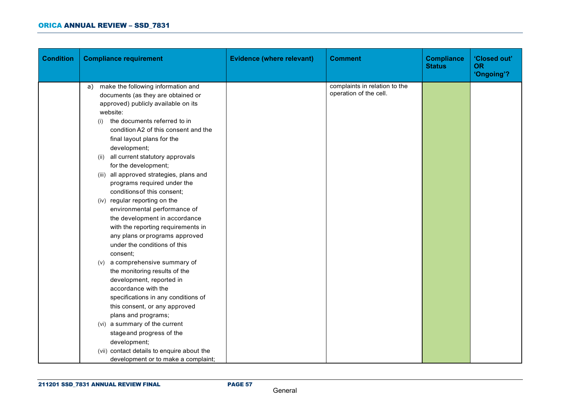| <b>Condition</b> | <b>Compliance requirement</b>              | <b>Evidence (where relevant)</b> | <b>Comment</b>                | <b>Compliance</b><br><b>Status</b> | 'Closed out'<br><b>OR</b><br>'Ongoing'? |
|------------------|--------------------------------------------|----------------------------------|-------------------------------|------------------------------------|-----------------------------------------|
|                  | make the following information and<br>a)   |                                  | complaints in relation to the |                                    |                                         |
|                  | documents (as they are obtained or         |                                  | operation of the cell.        |                                    |                                         |
|                  | approved) publicly available on its        |                                  |                               |                                    |                                         |
|                  | website:                                   |                                  |                               |                                    |                                         |
|                  | the documents referred to in<br>(i)        |                                  |                               |                                    |                                         |
|                  | condition A2 of this consent and the       |                                  |                               |                                    |                                         |
|                  | final layout plans for the                 |                                  |                               |                                    |                                         |
|                  | development;                               |                                  |                               |                                    |                                         |
|                  | (ii) all current statutory approvals       |                                  |                               |                                    |                                         |
|                  | for the development;                       |                                  |                               |                                    |                                         |
|                  | (iii) all approved strategies, plans and   |                                  |                               |                                    |                                         |
|                  | programs required under the                |                                  |                               |                                    |                                         |
|                  | conditions of this consent;                |                                  |                               |                                    |                                         |
|                  | (iv) regular reporting on the              |                                  |                               |                                    |                                         |
|                  | environmental performance of               |                                  |                               |                                    |                                         |
|                  | the development in accordance              |                                  |                               |                                    |                                         |
|                  | with the reporting requirements in         |                                  |                               |                                    |                                         |
|                  | any plans or programs approved             |                                  |                               |                                    |                                         |
|                  | under the conditions of this               |                                  |                               |                                    |                                         |
|                  | consent:                                   |                                  |                               |                                    |                                         |
|                  | (v) a comprehensive summary of             |                                  |                               |                                    |                                         |
|                  | the monitoring results of the              |                                  |                               |                                    |                                         |
|                  | development, reported in                   |                                  |                               |                                    |                                         |
|                  | accordance with the                        |                                  |                               |                                    |                                         |
|                  | specifications in any conditions of        |                                  |                               |                                    |                                         |
|                  | this consent, or any approved              |                                  |                               |                                    |                                         |
|                  | plans and programs;                        |                                  |                               |                                    |                                         |
|                  | (vi) a summary of the current              |                                  |                               |                                    |                                         |
|                  | stage and progress of the                  |                                  |                               |                                    |                                         |
|                  | development;                               |                                  |                               |                                    |                                         |
|                  | (vii) contact details to enquire about the |                                  |                               |                                    |                                         |
|                  | development or to make a complaint;        |                                  |                               |                                    |                                         |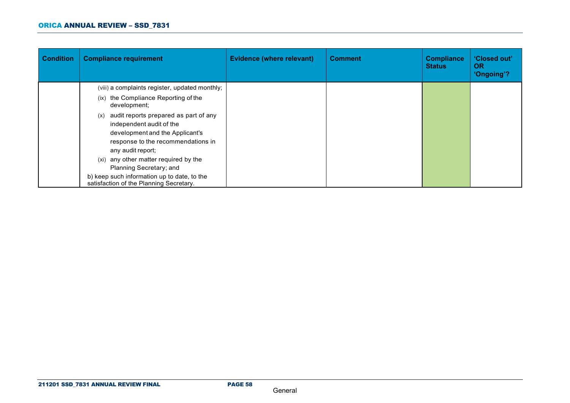| <b>Condition</b> | <b>Compliance requirement</b>                                                                                                                                                                                   | <b>Evidence (where relevant)</b> | <b>Comment</b> | <b>Compliance</b><br><b>Status</b> | 'Closed out'<br><b>OR</b><br>'Ongoing'? |
|------------------|-----------------------------------------------------------------------------------------------------------------------------------------------------------------------------------------------------------------|----------------------------------|----------------|------------------------------------|-----------------------------------------|
|                  | (viii) a complaints register, updated monthly;                                                                                                                                                                  |                                  |                |                                    |                                         |
|                  | the Compliance Reporting of the<br>(ix)<br>development;                                                                                                                                                         |                                  |                |                                    |                                         |
|                  | audit reports prepared as part of any<br>(x)<br>independent audit of the<br>development and the Applicant's<br>response to the recommendations in<br>any audit report;<br>(xi) any other matter required by the |                                  |                |                                    |                                         |
|                  | Planning Secretary; and                                                                                                                                                                                         |                                  |                |                                    |                                         |
|                  | b) keep such information up to date, to the<br>satisfaction of the Planning Secretary.                                                                                                                          |                                  |                |                                    |                                         |